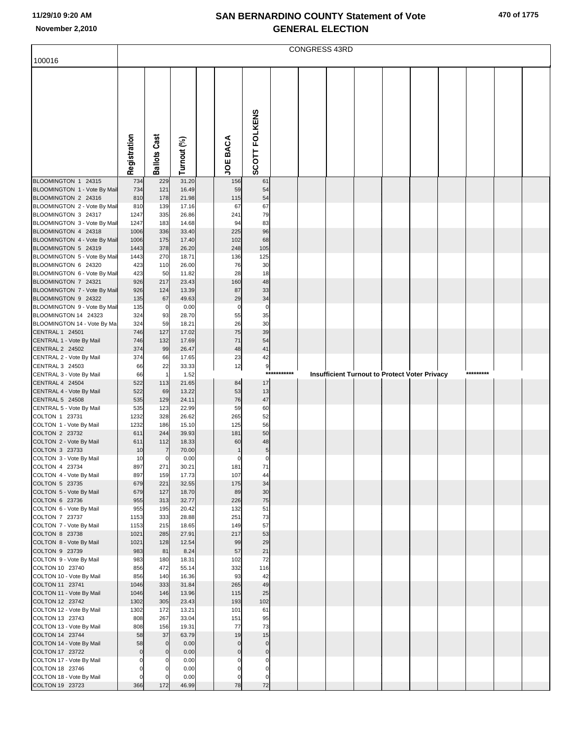| 470 of 1775 |
|-------------|
|-------------|

|                                                     | CONGRESS 43RD     |                       |                |  |                           |                         |         |  |  |  |  |                                               |           |  |
|-----------------------------------------------------|-------------------|-----------------------|----------------|--|---------------------------|-------------------------|---------|--|--|--|--|-----------------------------------------------|-----------|--|
| 100016                                              |                   |                       |                |  |                           |                         |         |  |  |  |  |                                               |           |  |
|                                                     |                   |                       |                |  |                           |                         |         |  |  |  |  |                                               |           |  |
|                                                     |                   |                       |                |  |                           |                         |         |  |  |  |  |                                               |           |  |
|                                                     |                   |                       |                |  |                           |                         |         |  |  |  |  |                                               |           |  |
|                                                     |                   |                       |                |  |                           |                         |         |  |  |  |  |                                               |           |  |
|                                                     |                   |                       |                |  |                           |                         |         |  |  |  |  |                                               |           |  |
|                                                     |                   |                       |                |  |                           |                         |         |  |  |  |  |                                               |           |  |
|                                                     |                   |                       |                |  |                           |                         |         |  |  |  |  |                                               |           |  |
|                                                     |                   |                       |                |  |                           |                         |         |  |  |  |  |                                               |           |  |
|                                                     |                   |                       |                |  |                           |                         |         |  |  |  |  |                                               |           |  |
|                                                     | Registration      | <b>Ballots Cast</b>   | Turnout (%)    |  | JOE BACA                  | SCOTT FOLKENS           |         |  |  |  |  |                                               |           |  |
| BLOOMINGTON 1 24315                                 | 734               | 229                   | 31.20          |  | 156                       | 61                      |         |  |  |  |  |                                               |           |  |
| BLOOMINGTON 1 - Vote By Mail                        | 734               | 121                   | 16.49          |  | 59                        | 54                      |         |  |  |  |  |                                               |           |  |
| BLOOMINGTON 2 24316                                 | 810               | 178                   | 21.98          |  | 115                       | 54                      |         |  |  |  |  |                                               |           |  |
| BLOOMINGTON 2 - Vote By Mail                        | 810               | 139                   | 17.16          |  | 67                        | 67                      |         |  |  |  |  |                                               |           |  |
| BLOOMINGTON 3 24317<br>BLOOMINGTON 3 - Vote By Mail | 1247<br>1247      | 335<br>183            | 26.86<br>14.68 |  | 241<br>94                 | 79<br>83                |         |  |  |  |  |                                               |           |  |
| BLOOMINGTON 4 24318                                 | 1006              | 336                   | 33.40          |  | 225                       | 96                      |         |  |  |  |  |                                               |           |  |
| BLOOMINGTON 4 - Vote By Mail                        | 1006              | 175                   | 17.40          |  | 102                       | 68                      |         |  |  |  |  |                                               |           |  |
| BLOOMINGTON 5 24319                                 | 1443              | 378                   | 26.20          |  | 248                       | 105                     |         |  |  |  |  |                                               |           |  |
| BLOOMINGTON 5 - Vote By Mail<br>BLOOMINGTON 6 24320 | 1443<br>423       | 270<br>110            | 18.71<br>26.00 |  | 136<br>76                 | 125<br>30               |         |  |  |  |  |                                               |           |  |
| BLOOMINGTON 6 - Vote By Mail                        | 423               | 50                    | 11.82          |  | 28                        | 18                      |         |  |  |  |  |                                               |           |  |
| BLOOMINGTON 7 24321                                 | 926               | 217                   | 23.43          |  | 160                       | 48                      |         |  |  |  |  |                                               |           |  |
| BLOOMINGTON 7 - Vote By Mail                        | 926               | 124                   | 13.39          |  | 87<br>29                  | 33<br>34                |         |  |  |  |  |                                               |           |  |
| BLOOMINGTON 9 24322<br>BLOOMINGTON 9 - Vote By Mail | 135<br>135        | 67<br>$\overline{0}$  | 49.63<br>0.00  |  | $\mathbf 0$               | $\pmb{0}$               |         |  |  |  |  |                                               |           |  |
| BLOOMINGTON 14 24323                                | 324               | 93                    | 28.70          |  | 55                        | 35                      |         |  |  |  |  |                                               |           |  |
| BLOOMINGTON 14 - Vote By Ma                         | 324               | 59                    | 18.21          |  | 26                        | 30                      |         |  |  |  |  |                                               |           |  |
| CENTRAL 1 24501<br>CENTRAL 1 - Vote By Mail         | 746<br>746        | 127<br>132            | 17.02<br>17.69 |  | 75<br>71                  | 39<br>54                |         |  |  |  |  |                                               |           |  |
| <b>CENTRAL 2 24502</b>                              | 374               | 99                    | 26.47          |  | 48                        | 41                      |         |  |  |  |  |                                               |           |  |
| CENTRAL 2 - Vote By Mail                            | 374               | 66                    | 17.65          |  | 23                        | 42                      |         |  |  |  |  |                                               |           |  |
| CENTRAL 3 24503                                     | 66                | 22                    | 33.33          |  | 12                        | 9                       |         |  |  |  |  |                                               |           |  |
| CENTRAL 3 - Vote By Mail<br>CENTRAL 4 24504         | 66<br>522         | $\overline{1}$<br>113 | 1.52<br>21.65  |  | 84                        | $***$<br>17             | ******* |  |  |  |  | Insufficient Turnout to Protect Voter Privacy | ********* |  |
| CENTRAL 4 - Vote By Mail                            | 522               | 69                    | 13.22          |  | 53                        | 13                      |         |  |  |  |  |                                               |           |  |
| CENTRAL 5 24508                                     | 535               | 129                   | 24.11          |  | 76                        | 47                      |         |  |  |  |  |                                               |           |  |
| CENTRAL 5 - Vote By Mail<br>COLTON 1 23731          | 535               | 123                   | 22.99          |  | 59                        | 60                      |         |  |  |  |  |                                               |           |  |
| COLTON 1 - Vote By Mail                             | 1232<br>1232      | 328<br>186            | 26.62<br>15.10 |  | 265<br>125                | 52<br>56                |         |  |  |  |  |                                               |           |  |
| COLTON 2 23732                                      | 611               | 244                   | 39.93          |  | 181                       | 50                      |         |  |  |  |  |                                               |           |  |
| COLTON 2 - Vote By Mail                             | 611               | 112                   | 18.33          |  | 60                        | 48                      |         |  |  |  |  |                                               |           |  |
| COLTON 3 23733<br>COLTON 3 - Vote By Mail           | 10<br>10          | 7<br>$\overline{0}$   | 70.00<br>0.00  |  | $\mathbf{1}$<br>$\pmb{0}$ | $\sqrt{5}$<br>$\pmb{0}$ |         |  |  |  |  |                                               |           |  |
| COLTON 4 23734                                      | 897               | 271                   | 30.21          |  | 181                       | 71                      |         |  |  |  |  |                                               |           |  |
| COLTON 4 - Vote By Mail                             | 897               | 159                   | 17.73          |  | 107                       | 44                      |         |  |  |  |  |                                               |           |  |
| COLTON 5 23735                                      | 679               | 221                   | 32.55          |  | 175                       | 34                      |         |  |  |  |  |                                               |           |  |
| COLTON 5 - Vote By Mail<br>COLTON 6 23736           | 679<br>955        | 127<br>313            | 18.70<br>32.77 |  | 89<br>226                 | 30<br>75                |         |  |  |  |  |                                               |           |  |
| COLTON 6 - Vote By Mail                             | 955               | 195                   | 20.42          |  | 132                       | 51                      |         |  |  |  |  |                                               |           |  |
| COLTON 7 23737                                      | 1153              | 333                   | 28.88          |  | 251                       | 73                      |         |  |  |  |  |                                               |           |  |
| COLTON 7 - Vote By Mail                             | 1153              | 215                   | 18.65          |  | 149                       | 57<br>53                |         |  |  |  |  |                                               |           |  |
| COLTON 8 23738<br>COLTON 8 - Vote By Mail           | 1021<br>1021      | 285<br>128            | 27.91<br>12.54 |  | 217<br>99                 | 29                      |         |  |  |  |  |                                               |           |  |
| COLTON 9 23739                                      | 983               | 81                    | 8.24           |  | 57                        | 21                      |         |  |  |  |  |                                               |           |  |
| COLTON 9 - Vote By Mail                             | 983               | 180                   | 18.31          |  | 102                       | 72                      |         |  |  |  |  |                                               |           |  |
| COLTON 10 23740<br>COLTON 10 - Vote By Mail         | 856<br>856        | 472<br>140            | 55.14<br>16.36 |  | 332<br>93                 | 116<br>42               |         |  |  |  |  |                                               |           |  |
| COLTON 11 23741                                     | 1046              | 333                   | 31.84          |  | 265                       | 49                      |         |  |  |  |  |                                               |           |  |
| COLTON 11 - Vote By Mail                            | 1046              | 146                   | 13.96          |  | 115                       | 25                      |         |  |  |  |  |                                               |           |  |
| COLTON 12 23742                                     | 1302              | 305                   | 23.43          |  | 193                       | 102                     |         |  |  |  |  |                                               |           |  |
| COLTON 12 - Vote By Mail<br>COLTON 13 23743         | 1302<br>808       | 172<br>267            | 13.21<br>33.04 |  | 101<br>151                | 61<br>95                |         |  |  |  |  |                                               |           |  |
| COLTON 13 - Vote By Mail                            | 808               | 156                   | 19.31          |  | 77                        | 73                      |         |  |  |  |  |                                               |           |  |
| COLTON 14 23744                                     | 58                | 37                    | 63.79          |  | 19                        | 15                      |         |  |  |  |  |                                               |           |  |
| COLTON 14 - Vote By Mail                            | 58                | $\mathbf 0$           | 0.00           |  | $\mathbf 0$               | $\mathbf 0$             |         |  |  |  |  |                                               |           |  |
| COLTON 17 23722<br>COLTON 17 - Vote By Mail         | $\mathsf{O}$<br>0 | $\mathbf{0}$<br>0     | 0.00<br>0.00   |  | $\mathbf 0$<br>$\Omega$   | $\pmb{0}$<br>0          |         |  |  |  |  |                                               |           |  |
| COLTON 18 23746                                     | 0                 |                       | 0.00           |  | $\Omega$                  | $\Omega$                |         |  |  |  |  |                                               |           |  |
| COLTON 18 - Vote By Mail                            | $\mathbf 0$       | $\Omega$              | 0.00           |  | $\mathbf 0$               | $\mathbf 0$             |         |  |  |  |  |                                               |           |  |
| COLTON 19 23723                                     | 366               | 172                   | 46.99          |  | 78                        | 72                      |         |  |  |  |  |                                               |           |  |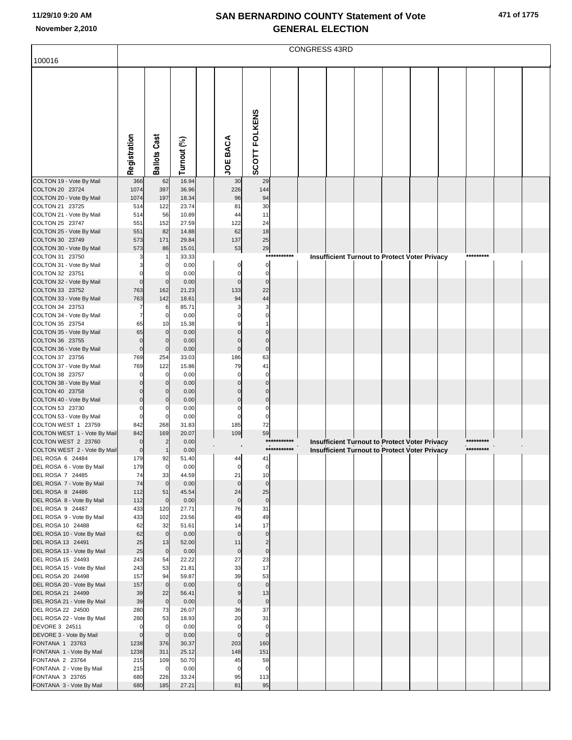|  |  | 471 of 1775 |
|--|--|-------------|
|--|--|-------------|

| 100016<br>SCOTT FOLKENS<br>Registration<br><b>Ballots Cast</b><br><b>JOE BACA</b><br>Turnout (%)<br>16.94<br>COLTON 19 - Vote By Mail<br>366<br>62<br>29<br>30<br>1074<br>397<br>226<br>COLTON 20 23724<br>36.96<br>144<br>COLTON 20 - Vote By Mail<br>1074<br>197<br>96<br>18.34<br>94<br>COLTON 21 23725<br>122<br>23.74<br>30<br>514<br>81<br>COLTON 21 - Vote By Mail<br>11<br>514<br>56<br>10.89<br>44<br>COLTON 25 23747<br>24<br>551<br>152<br>27.59<br>122<br>18<br>COLTON 25 - Vote By Mail<br>62<br>551<br>82<br>14.88<br>25<br>COLTON 30 23749<br>573<br>171<br>29.84<br>137<br>29<br>COLTON 30 - Vote By Mail<br>573<br>86<br>15.01<br>53<br>***********<br>*********<br>COLTON 31 23750<br>33.33<br><b>Insufficient Turnout to Protect Voter Privacy</b><br>-1<br>COLTON 31 - Vote By Mail<br>$\mathbf 0$<br>0.00<br>$\mathbf 0$<br>0<br>COLTON 32 23751<br>0.00<br>$\mathbf 0$<br>$\mathbf 0$<br>0<br>COLTON 32 - Vote By Mail<br>$\mathbf 0$<br>0.00<br>$\Omega$<br>$\mathbf 0$<br>$\Omega$<br>162<br>22<br>COLTON 33 23752<br>763<br>21.23<br>133<br>COLTON 33 - Vote By Mail<br>763<br>44<br>142<br>18.61<br>94<br>COLTON 34 23753<br>85.71<br>6<br>3<br>7<br>COLTON 34 - Vote By Mail<br>0.00<br>0<br>7<br>COLTON 35 23754<br>65<br>10<br>15.38<br>COLTON 35 - Vote By Mail<br>65<br>0.00<br>$\mathbf 0$<br>COLTON 36 23755<br>$\mathbf 0$<br>0.00<br>$\mathbf 0$<br>$\mathbf 0$<br>$\Omega$<br>$\mathbf 0$<br>$\overline{0}$<br>COLTON 36 - Vote By Mail<br>0.00<br>$\Omega$<br>$\mathbf 0$<br>63<br>COLTON 37 23756<br>769<br>254<br>33.03<br>186<br>COLTON 37 - Vote By Mail<br>769<br>122<br>15.86<br>79<br>41<br>COLTON 38 23757<br>0.00<br>$\mathbf 0$<br>$\mathbf 0$<br>0<br>0<br>COLTON 38 - Vote By Mail<br>0.00<br>$\Omega$<br>$\Omega$<br>COLTON 40 23758<br>0.00<br>$\mathbf 0$<br>0<br>COLTON 40 - Vote By Mail<br>$\mathbf 0$<br>$\Omega$<br>0.00<br>$\mathcal{C}$<br>$\Omega$<br>COLTON 53 23730<br>0.00<br>$\Omega$<br>0<br>COLTON 53 - Vote By Mail<br>0.00<br>$\mathbf 0$<br>$\Omega$<br>0<br>268<br>72<br>COLTON WEST 1 23759<br>842<br>31.83<br>185<br>59<br>COLTON WEST 1 - Vote By Mail<br>169<br>20.07<br>109<br>842<br>***********<br>*********<br>COLTON WEST 2 23760<br>$\overline{2}$<br>0.00<br>Insufficient Turnout to Protect Voter Privacy<br>$\Omega$<br>***********<br>*********<br>COLTON WEST 2 - Vote By Mail<br><b>Insufficient Turnout to Protect Voter Privacy</b><br>$\overline{0}$<br>0.00<br>$\overline{1}$<br>DEL ROSA 6 24484<br>179<br>92<br>51.40<br>41<br>44<br>DEL ROSA 6 - Vote By Mail<br>0.00<br>179<br>$\overline{0}$<br>$\mathbf 0$<br>$\mathbf 0$<br>10<br>DEL ROSA 7 24485<br>33<br>44.59<br>21<br>74<br>74<br>$\mathbf 0$<br>DEL ROSA 7 - Vote By Mail<br>$\mathbf 0$<br>0.00<br>$\mathbf{0}$<br>25<br>DEL ROSA 8 24486<br>51<br>45.54<br>24<br>112<br>$\pmb{0}$<br>DEL ROSA 8 - Vote By Mail<br>112<br>$\mathbf 0$<br>0.00<br>$\mathbf 0$<br>DEL ROSA 9 24487<br>433<br>120<br>27.71<br>76<br>31<br>DEL ROSA 9 - Vote By Mail<br>433<br>102<br>23.56<br>49<br>49<br>17<br>DEL ROSA 10 24488<br>32<br>51.61<br>62<br>14<br>0.00<br>$\mathbf 0$<br>DEL ROSA 10 - Vote By Mail<br>62<br>$\mathbf 0$<br>$\mathbf{0}$<br>DEL ROSA 13 24491<br>25<br>11<br>$\overline{c}$<br>13<br>52.00<br>$\pmb{0}$<br>DEL ROSA 13 - Vote By Mail<br>25<br>0.00<br>$\mathbf 0$<br>$\mathbf 0$<br>23<br>DEL ROSA 15 24493<br>243<br>54<br>22.22<br>27<br>17<br>DEL ROSA 15 - Vote By Mail<br>53<br>21.81<br>33<br>243<br>53<br>DEL ROSA 20 24498<br>94<br>59.87<br>39<br>157<br>$\mathbf 0$<br>DEL ROSA 20 - Vote By Mail<br>$\mathbf 0$<br>0.00<br>$\mathbf{0}$<br>157<br>DEL ROSA 21 24499<br>22<br>13<br>39<br>56.41<br>9<br>39<br>$\pmb{0}$<br>DEL ROSA 21 - Vote By Mail<br>$\mathbf 0$<br>0.00<br>$\mathbf 0$<br>37<br>DEL ROSA 22 24500<br>280<br>73<br>26.07<br>36<br>DEL ROSA 22 - Vote By Mail<br>280<br>53<br>18.93<br>20<br>31<br>DEVORE 3 24511<br>0.00<br>$\mathbf 0$<br>$\mathbf 0$<br>$\mathbf 0$<br>$\mathbf 0$<br>$\mathbf 0$<br>DEVORE 3 - Vote By Mail<br>0.00<br>$\mathbf 0$<br>$\mathbf 0$<br>$\Omega$<br>1238<br>376<br>30.37<br>160<br>FONTANA 1 23763<br>203<br>FONTANA 1 - Vote By Mail<br>1238<br>311<br>25.12<br>148<br>151<br>109<br>50.70<br>FONTANA 2 23764<br>215<br>45<br>59<br>0.00<br>$\mathbf 0$<br>FONTANA 2 - Vote By Mail<br>215<br>$\overline{0}$<br>$\mathbf 0$<br>113<br>FONTANA 3 23765<br>680<br>226<br>33.24<br>95<br>95<br>FONTANA 3 - Vote By Mail<br>680<br>185<br>27.21<br>81 | CONGRESS 43RD |  |  |  |  |  |  |  |  |  |  |  |  |  |
|--------------------------------------------------------------------------------------------------------------------------------------------------------------------------------------------------------------------------------------------------------------------------------------------------------------------------------------------------------------------------------------------------------------------------------------------------------------------------------------------------------------------------------------------------------------------------------------------------------------------------------------------------------------------------------------------------------------------------------------------------------------------------------------------------------------------------------------------------------------------------------------------------------------------------------------------------------------------------------------------------------------------------------------------------------------------------------------------------------------------------------------------------------------------------------------------------------------------------------------------------------------------------------------------------------------------------------------------------------------------------------------------------------------------------------------------------------------------------------------------------------------------------------------------------------------------------------------------------------------------------------------------------------------------------------------------------------------------------------------------------------------------------------------------------------------------------------------------------------------------------------------------------------------------------------------------------------------------------------------------------------------------------------------------------------------------------------------------------------------------------------------------------------------------------------------------------------------------------------------------------------------------------------------------------------------------------------------------------------------------------------------------------------------------------------------------------------------------------------------------------------------------------------------------------------------------------------------------------------------------------------------------------------------------------------------------------------------------------------------------------------------------------------------------------------------------------------------------------------------------------------------------------------------------------------------------------------------------------------------------------------------------------------------------------------------------------------------------------------------------------------------------------------------------------------------------------------------------------------------------------------------------------------------------------------------------------------------------------------------------------------------------------------------------------------------------------------------------------------------------------------------------------------------------------------------------------------------------------------------------------------------------------------------------------------------------------------------------------------------------------------------------------------------------------------------------------------------------------------------------------------------------------------------------------------------------------------------------------------------------------------------------------------------------------------------------------------------------------------------------------------------------------------------------------------------------------------------------------------------------------------------------------------------------------------------------------------------------------------------------------------------------------------------------------------------------------------------------------------------|---------------|--|--|--|--|--|--|--|--|--|--|--|--|--|
|                                                                                                                                                                                                                                                                                                                                                                                                                                                                                                                                                                                                                                                                                                                                                                                                                                                                                                                                                                                                                                                                                                                                                                                                                                                                                                                                                                                                                                                                                                                                                                                                                                                                                                                                                                                                                                                                                                                                                                                                                                                                                                                                                                                                                                                                                                                                                                                                                                                                                                                                                                                                                                                                                                                                                                                                                                                                                                                                                                                                                                                                                                                                                                                                                                                                                                                                                                                                                                                                                                                                                                                                                                                                                                                                                                                                                                                                                                                                                                                                                                                                                                                                                                                                                                                                                                                                                                                                                                                                                      |               |  |  |  |  |  |  |  |  |  |  |  |  |  |
|                                                                                                                                                                                                                                                                                                                                                                                                                                                                                                                                                                                                                                                                                                                                                                                                                                                                                                                                                                                                                                                                                                                                                                                                                                                                                                                                                                                                                                                                                                                                                                                                                                                                                                                                                                                                                                                                                                                                                                                                                                                                                                                                                                                                                                                                                                                                                                                                                                                                                                                                                                                                                                                                                                                                                                                                                                                                                                                                                                                                                                                                                                                                                                                                                                                                                                                                                                                                                                                                                                                                                                                                                                                                                                                                                                                                                                                                                                                                                                                                                                                                                                                                                                                                                                                                                                                                                                                                                                                                                      |               |  |  |  |  |  |  |  |  |  |  |  |  |  |
|                                                                                                                                                                                                                                                                                                                                                                                                                                                                                                                                                                                                                                                                                                                                                                                                                                                                                                                                                                                                                                                                                                                                                                                                                                                                                                                                                                                                                                                                                                                                                                                                                                                                                                                                                                                                                                                                                                                                                                                                                                                                                                                                                                                                                                                                                                                                                                                                                                                                                                                                                                                                                                                                                                                                                                                                                                                                                                                                                                                                                                                                                                                                                                                                                                                                                                                                                                                                                                                                                                                                                                                                                                                                                                                                                                                                                                                                                                                                                                                                                                                                                                                                                                                                                                                                                                                                                                                                                                                                                      |               |  |  |  |  |  |  |  |  |  |  |  |  |  |
|                                                                                                                                                                                                                                                                                                                                                                                                                                                                                                                                                                                                                                                                                                                                                                                                                                                                                                                                                                                                                                                                                                                                                                                                                                                                                                                                                                                                                                                                                                                                                                                                                                                                                                                                                                                                                                                                                                                                                                                                                                                                                                                                                                                                                                                                                                                                                                                                                                                                                                                                                                                                                                                                                                                                                                                                                                                                                                                                                                                                                                                                                                                                                                                                                                                                                                                                                                                                                                                                                                                                                                                                                                                                                                                                                                                                                                                                                                                                                                                                                                                                                                                                                                                                                                                                                                                                                                                                                                                                                      |               |  |  |  |  |  |  |  |  |  |  |  |  |  |
|                                                                                                                                                                                                                                                                                                                                                                                                                                                                                                                                                                                                                                                                                                                                                                                                                                                                                                                                                                                                                                                                                                                                                                                                                                                                                                                                                                                                                                                                                                                                                                                                                                                                                                                                                                                                                                                                                                                                                                                                                                                                                                                                                                                                                                                                                                                                                                                                                                                                                                                                                                                                                                                                                                                                                                                                                                                                                                                                                                                                                                                                                                                                                                                                                                                                                                                                                                                                                                                                                                                                                                                                                                                                                                                                                                                                                                                                                                                                                                                                                                                                                                                                                                                                                                                                                                                                                                                                                                                                                      |               |  |  |  |  |  |  |  |  |  |  |  |  |  |
|                                                                                                                                                                                                                                                                                                                                                                                                                                                                                                                                                                                                                                                                                                                                                                                                                                                                                                                                                                                                                                                                                                                                                                                                                                                                                                                                                                                                                                                                                                                                                                                                                                                                                                                                                                                                                                                                                                                                                                                                                                                                                                                                                                                                                                                                                                                                                                                                                                                                                                                                                                                                                                                                                                                                                                                                                                                                                                                                                                                                                                                                                                                                                                                                                                                                                                                                                                                                                                                                                                                                                                                                                                                                                                                                                                                                                                                                                                                                                                                                                                                                                                                                                                                                                                                                                                                                                                                                                                                                                      |               |  |  |  |  |  |  |  |  |  |  |  |  |  |
|                                                                                                                                                                                                                                                                                                                                                                                                                                                                                                                                                                                                                                                                                                                                                                                                                                                                                                                                                                                                                                                                                                                                                                                                                                                                                                                                                                                                                                                                                                                                                                                                                                                                                                                                                                                                                                                                                                                                                                                                                                                                                                                                                                                                                                                                                                                                                                                                                                                                                                                                                                                                                                                                                                                                                                                                                                                                                                                                                                                                                                                                                                                                                                                                                                                                                                                                                                                                                                                                                                                                                                                                                                                                                                                                                                                                                                                                                                                                                                                                                                                                                                                                                                                                                                                                                                                                                                                                                                                                                      |               |  |  |  |  |  |  |  |  |  |  |  |  |  |
|                                                                                                                                                                                                                                                                                                                                                                                                                                                                                                                                                                                                                                                                                                                                                                                                                                                                                                                                                                                                                                                                                                                                                                                                                                                                                                                                                                                                                                                                                                                                                                                                                                                                                                                                                                                                                                                                                                                                                                                                                                                                                                                                                                                                                                                                                                                                                                                                                                                                                                                                                                                                                                                                                                                                                                                                                                                                                                                                                                                                                                                                                                                                                                                                                                                                                                                                                                                                                                                                                                                                                                                                                                                                                                                                                                                                                                                                                                                                                                                                                                                                                                                                                                                                                                                                                                                                                                                                                                                                                      |               |  |  |  |  |  |  |  |  |  |  |  |  |  |
|                                                                                                                                                                                                                                                                                                                                                                                                                                                                                                                                                                                                                                                                                                                                                                                                                                                                                                                                                                                                                                                                                                                                                                                                                                                                                                                                                                                                                                                                                                                                                                                                                                                                                                                                                                                                                                                                                                                                                                                                                                                                                                                                                                                                                                                                                                                                                                                                                                                                                                                                                                                                                                                                                                                                                                                                                                                                                                                                                                                                                                                                                                                                                                                                                                                                                                                                                                                                                                                                                                                                                                                                                                                                                                                                                                                                                                                                                                                                                                                                                                                                                                                                                                                                                                                                                                                                                                                                                                                                                      |               |  |  |  |  |  |  |  |  |  |  |  |  |  |
|                                                                                                                                                                                                                                                                                                                                                                                                                                                                                                                                                                                                                                                                                                                                                                                                                                                                                                                                                                                                                                                                                                                                                                                                                                                                                                                                                                                                                                                                                                                                                                                                                                                                                                                                                                                                                                                                                                                                                                                                                                                                                                                                                                                                                                                                                                                                                                                                                                                                                                                                                                                                                                                                                                                                                                                                                                                                                                                                                                                                                                                                                                                                                                                                                                                                                                                                                                                                                                                                                                                                                                                                                                                                                                                                                                                                                                                                                                                                                                                                                                                                                                                                                                                                                                                                                                                                                                                                                                                                                      |               |  |  |  |  |  |  |  |  |  |  |  |  |  |
|                                                                                                                                                                                                                                                                                                                                                                                                                                                                                                                                                                                                                                                                                                                                                                                                                                                                                                                                                                                                                                                                                                                                                                                                                                                                                                                                                                                                                                                                                                                                                                                                                                                                                                                                                                                                                                                                                                                                                                                                                                                                                                                                                                                                                                                                                                                                                                                                                                                                                                                                                                                                                                                                                                                                                                                                                                                                                                                                                                                                                                                                                                                                                                                                                                                                                                                                                                                                                                                                                                                                                                                                                                                                                                                                                                                                                                                                                                                                                                                                                                                                                                                                                                                                                                                                                                                                                                                                                                                                                      |               |  |  |  |  |  |  |  |  |  |  |  |  |  |
|                                                                                                                                                                                                                                                                                                                                                                                                                                                                                                                                                                                                                                                                                                                                                                                                                                                                                                                                                                                                                                                                                                                                                                                                                                                                                                                                                                                                                                                                                                                                                                                                                                                                                                                                                                                                                                                                                                                                                                                                                                                                                                                                                                                                                                                                                                                                                                                                                                                                                                                                                                                                                                                                                                                                                                                                                                                                                                                                                                                                                                                                                                                                                                                                                                                                                                                                                                                                                                                                                                                                                                                                                                                                                                                                                                                                                                                                                                                                                                                                                                                                                                                                                                                                                                                                                                                                                                                                                                                                                      |               |  |  |  |  |  |  |  |  |  |  |  |  |  |
|                                                                                                                                                                                                                                                                                                                                                                                                                                                                                                                                                                                                                                                                                                                                                                                                                                                                                                                                                                                                                                                                                                                                                                                                                                                                                                                                                                                                                                                                                                                                                                                                                                                                                                                                                                                                                                                                                                                                                                                                                                                                                                                                                                                                                                                                                                                                                                                                                                                                                                                                                                                                                                                                                                                                                                                                                                                                                                                                                                                                                                                                                                                                                                                                                                                                                                                                                                                                                                                                                                                                                                                                                                                                                                                                                                                                                                                                                                                                                                                                                                                                                                                                                                                                                                                                                                                                                                                                                                                                                      |               |  |  |  |  |  |  |  |  |  |  |  |  |  |
|                                                                                                                                                                                                                                                                                                                                                                                                                                                                                                                                                                                                                                                                                                                                                                                                                                                                                                                                                                                                                                                                                                                                                                                                                                                                                                                                                                                                                                                                                                                                                                                                                                                                                                                                                                                                                                                                                                                                                                                                                                                                                                                                                                                                                                                                                                                                                                                                                                                                                                                                                                                                                                                                                                                                                                                                                                                                                                                                                                                                                                                                                                                                                                                                                                                                                                                                                                                                                                                                                                                                                                                                                                                                                                                                                                                                                                                                                                                                                                                                                                                                                                                                                                                                                                                                                                                                                                                                                                                                                      |               |  |  |  |  |  |  |  |  |  |  |  |  |  |
|                                                                                                                                                                                                                                                                                                                                                                                                                                                                                                                                                                                                                                                                                                                                                                                                                                                                                                                                                                                                                                                                                                                                                                                                                                                                                                                                                                                                                                                                                                                                                                                                                                                                                                                                                                                                                                                                                                                                                                                                                                                                                                                                                                                                                                                                                                                                                                                                                                                                                                                                                                                                                                                                                                                                                                                                                                                                                                                                                                                                                                                                                                                                                                                                                                                                                                                                                                                                                                                                                                                                                                                                                                                                                                                                                                                                                                                                                                                                                                                                                                                                                                                                                                                                                                                                                                                                                                                                                                                                                      |               |  |  |  |  |  |  |  |  |  |  |  |  |  |
|                                                                                                                                                                                                                                                                                                                                                                                                                                                                                                                                                                                                                                                                                                                                                                                                                                                                                                                                                                                                                                                                                                                                                                                                                                                                                                                                                                                                                                                                                                                                                                                                                                                                                                                                                                                                                                                                                                                                                                                                                                                                                                                                                                                                                                                                                                                                                                                                                                                                                                                                                                                                                                                                                                                                                                                                                                                                                                                                                                                                                                                                                                                                                                                                                                                                                                                                                                                                                                                                                                                                                                                                                                                                                                                                                                                                                                                                                                                                                                                                                                                                                                                                                                                                                                                                                                                                                                                                                                                                                      |               |  |  |  |  |  |  |  |  |  |  |  |  |  |
|                                                                                                                                                                                                                                                                                                                                                                                                                                                                                                                                                                                                                                                                                                                                                                                                                                                                                                                                                                                                                                                                                                                                                                                                                                                                                                                                                                                                                                                                                                                                                                                                                                                                                                                                                                                                                                                                                                                                                                                                                                                                                                                                                                                                                                                                                                                                                                                                                                                                                                                                                                                                                                                                                                                                                                                                                                                                                                                                                                                                                                                                                                                                                                                                                                                                                                                                                                                                                                                                                                                                                                                                                                                                                                                                                                                                                                                                                                                                                                                                                                                                                                                                                                                                                                                                                                                                                                                                                                                                                      |               |  |  |  |  |  |  |  |  |  |  |  |  |  |
|                                                                                                                                                                                                                                                                                                                                                                                                                                                                                                                                                                                                                                                                                                                                                                                                                                                                                                                                                                                                                                                                                                                                                                                                                                                                                                                                                                                                                                                                                                                                                                                                                                                                                                                                                                                                                                                                                                                                                                                                                                                                                                                                                                                                                                                                                                                                                                                                                                                                                                                                                                                                                                                                                                                                                                                                                                                                                                                                                                                                                                                                                                                                                                                                                                                                                                                                                                                                                                                                                                                                                                                                                                                                                                                                                                                                                                                                                                                                                                                                                                                                                                                                                                                                                                                                                                                                                                                                                                                                                      |               |  |  |  |  |  |  |  |  |  |  |  |  |  |
|                                                                                                                                                                                                                                                                                                                                                                                                                                                                                                                                                                                                                                                                                                                                                                                                                                                                                                                                                                                                                                                                                                                                                                                                                                                                                                                                                                                                                                                                                                                                                                                                                                                                                                                                                                                                                                                                                                                                                                                                                                                                                                                                                                                                                                                                                                                                                                                                                                                                                                                                                                                                                                                                                                                                                                                                                                                                                                                                                                                                                                                                                                                                                                                                                                                                                                                                                                                                                                                                                                                                                                                                                                                                                                                                                                                                                                                                                                                                                                                                                                                                                                                                                                                                                                                                                                                                                                                                                                                                                      |               |  |  |  |  |  |  |  |  |  |  |  |  |  |
|                                                                                                                                                                                                                                                                                                                                                                                                                                                                                                                                                                                                                                                                                                                                                                                                                                                                                                                                                                                                                                                                                                                                                                                                                                                                                                                                                                                                                                                                                                                                                                                                                                                                                                                                                                                                                                                                                                                                                                                                                                                                                                                                                                                                                                                                                                                                                                                                                                                                                                                                                                                                                                                                                                                                                                                                                                                                                                                                                                                                                                                                                                                                                                                                                                                                                                                                                                                                                                                                                                                                                                                                                                                                                                                                                                                                                                                                                                                                                                                                                                                                                                                                                                                                                                                                                                                                                                                                                                                                                      |               |  |  |  |  |  |  |  |  |  |  |  |  |  |
|                                                                                                                                                                                                                                                                                                                                                                                                                                                                                                                                                                                                                                                                                                                                                                                                                                                                                                                                                                                                                                                                                                                                                                                                                                                                                                                                                                                                                                                                                                                                                                                                                                                                                                                                                                                                                                                                                                                                                                                                                                                                                                                                                                                                                                                                                                                                                                                                                                                                                                                                                                                                                                                                                                                                                                                                                                                                                                                                                                                                                                                                                                                                                                                                                                                                                                                                                                                                                                                                                                                                                                                                                                                                                                                                                                                                                                                                                                                                                                                                                                                                                                                                                                                                                                                                                                                                                                                                                                                                                      |               |  |  |  |  |  |  |  |  |  |  |  |  |  |
|                                                                                                                                                                                                                                                                                                                                                                                                                                                                                                                                                                                                                                                                                                                                                                                                                                                                                                                                                                                                                                                                                                                                                                                                                                                                                                                                                                                                                                                                                                                                                                                                                                                                                                                                                                                                                                                                                                                                                                                                                                                                                                                                                                                                                                                                                                                                                                                                                                                                                                                                                                                                                                                                                                                                                                                                                                                                                                                                                                                                                                                                                                                                                                                                                                                                                                                                                                                                                                                                                                                                                                                                                                                                                                                                                                                                                                                                                                                                                                                                                                                                                                                                                                                                                                                                                                                                                                                                                                                                                      |               |  |  |  |  |  |  |  |  |  |  |  |  |  |
|                                                                                                                                                                                                                                                                                                                                                                                                                                                                                                                                                                                                                                                                                                                                                                                                                                                                                                                                                                                                                                                                                                                                                                                                                                                                                                                                                                                                                                                                                                                                                                                                                                                                                                                                                                                                                                                                                                                                                                                                                                                                                                                                                                                                                                                                                                                                                                                                                                                                                                                                                                                                                                                                                                                                                                                                                                                                                                                                                                                                                                                                                                                                                                                                                                                                                                                                                                                                                                                                                                                                                                                                                                                                                                                                                                                                                                                                                                                                                                                                                                                                                                                                                                                                                                                                                                                                                                                                                                                                                      |               |  |  |  |  |  |  |  |  |  |  |  |  |  |
|                                                                                                                                                                                                                                                                                                                                                                                                                                                                                                                                                                                                                                                                                                                                                                                                                                                                                                                                                                                                                                                                                                                                                                                                                                                                                                                                                                                                                                                                                                                                                                                                                                                                                                                                                                                                                                                                                                                                                                                                                                                                                                                                                                                                                                                                                                                                                                                                                                                                                                                                                                                                                                                                                                                                                                                                                                                                                                                                                                                                                                                                                                                                                                                                                                                                                                                                                                                                                                                                                                                                                                                                                                                                                                                                                                                                                                                                                                                                                                                                                                                                                                                                                                                                                                                                                                                                                                                                                                                                                      |               |  |  |  |  |  |  |  |  |  |  |  |  |  |
|                                                                                                                                                                                                                                                                                                                                                                                                                                                                                                                                                                                                                                                                                                                                                                                                                                                                                                                                                                                                                                                                                                                                                                                                                                                                                                                                                                                                                                                                                                                                                                                                                                                                                                                                                                                                                                                                                                                                                                                                                                                                                                                                                                                                                                                                                                                                                                                                                                                                                                                                                                                                                                                                                                                                                                                                                                                                                                                                                                                                                                                                                                                                                                                                                                                                                                                                                                                                                                                                                                                                                                                                                                                                                                                                                                                                                                                                                                                                                                                                                                                                                                                                                                                                                                                                                                                                                                                                                                                                                      |               |  |  |  |  |  |  |  |  |  |  |  |  |  |
|                                                                                                                                                                                                                                                                                                                                                                                                                                                                                                                                                                                                                                                                                                                                                                                                                                                                                                                                                                                                                                                                                                                                                                                                                                                                                                                                                                                                                                                                                                                                                                                                                                                                                                                                                                                                                                                                                                                                                                                                                                                                                                                                                                                                                                                                                                                                                                                                                                                                                                                                                                                                                                                                                                                                                                                                                                                                                                                                                                                                                                                                                                                                                                                                                                                                                                                                                                                                                                                                                                                                                                                                                                                                                                                                                                                                                                                                                                                                                                                                                                                                                                                                                                                                                                                                                                                                                                                                                                                                                      |               |  |  |  |  |  |  |  |  |  |  |  |  |  |
|                                                                                                                                                                                                                                                                                                                                                                                                                                                                                                                                                                                                                                                                                                                                                                                                                                                                                                                                                                                                                                                                                                                                                                                                                                                                                                                                                                                                                                                                                                                                                                                                                                                                                                                                                                                                                                                                                                                                                                                                                                                                                                                                                                                                                                                                                                                                                                                                                                                                                                                                                                                                                                                                                                                                                                                                                                                                                                                                                                                                                                                                                                                                                                                                                                                                                                                                                                                                                                                                                                                                                                                                                                                                                                                                                                                                                                                                                                                                                                                                                                                                                                                                                                                                                                                                                                                                                                                                                                                                                      |               |  |  |  |  |  |  |  |  |  |  |  |  |  |
|                                                                                                                                                                                                                                                                                                                                                                                                                                                                                                                                                                                                                                                                                                                                                                                                                                                                                                                                                                                                                                                                                                                                                                                                                                                                                                                                                                                                                                                                                                                                                                                                                                                                                                                                                                                                                                                                                                                                                                                                                                                                                                                                                                                                                                                                                                                                                                                                                                                                                                                                                                                                                                                                                                                                                                                                                                                                                                                                                                                                                                                                                                                                                                                                                                                                                                                                                                                                                                                                                                                                                                                                                                                                                                                                                                                                                                                                                                                                                                                                                                                                                                                                                                                                                                                                                                                                                                                                                                                                                      |               |  |  |  |  |  |  |  |  |  |  |  |  |  |
|                                                                                                                                                                                                                                                                                                                                                                                                                                                                                                                                                                                                                                                                                                                                                                                                                                                                                                                                                                                                                                                                                                                                                                                                                                                                                                                                                                                                                                                                                                                                                                                                                                                                                                                                                                                                                                                                                                                                                                                                                                                                                                                                                                                                                                                                                                                                                                                                                                                                                                                                                                                                                                                                                                                                                                                                                                                                                                                                                                                                                                                                                                                                                                                                                                                                                                                                                                                                                                                                                                                                                                                                                                                                                                                                                                                                                                                                                                                                                                                                                                                                                                                                                                                                                                                                                                                                                                                                                                                                                      |               |  |  |  |  |  |  |  |  |  |  |  |  |  |
|                                                                                                                                                                                                                                                                                                                                                                                                                                                                                                                                                                                                                                                                                                                                                                                                                                                                                                                                                                                                                                                                                                                                                                                                                                                                                                                                                                                                                                                                                                                                                                                                                                                                                                                                                                                                                                                                                                                                                                                                                                                                                                                                                                                                                                                                                                                                                                                                                                                                                                                                                                                                                                                                                                                                                                                                                                                                                                                                                                                                                                                                                                                                                                                                                                                                                                                                                                                                                                                                                                                                                                                                                                                                                                                                                                                                                                                                                                                                                                                                                                                                                                                                                                                                                                                                                                                                                                                                                                                                                      |               |  |  |  |  |  |  |  |  |  |  |  |  |  |
|                                                                                                                                                                                                                                                                                                                                                                                                                                                                                                                                                                                                                                                                                                                                                                                                                                                                                                                                                                                                                                                                                                                                                                                                                                                                                                                                                                                                                                                                                                                                                                                                                                                                                                                                                                                                                                                                                                                                                                                                                                                                                                                                                                                                                                                                                                                                                                                                                                                                                                                                                                                                                                                                                                                                                                                                                                                                                                                                                                                                                                                                                                                                                                                                                                                                                                                                                                                                                                                                                                                                                                                                                                                                                                                                                                                                                                                                                                                                                                                                                                                                                                                                                                                                                                                                                                                                                                                                                                                                                      |               |  |  |  |  |  |  |  |  |  |  |  |  |  |
|                                                                                                                                                                                                                                                                                                                                                                                                                                                                                                                                                                                                                                                                                                                                                                                                                                                                                                                                                                                                                                                                                                                                                                                                                                                                                                                                                                                                                                                                                                                                                                                                                                                                                                                                                                                                                                                                                                                                                                                                                                                                                                                                                                                                                                                                                                                                                                                                                                                                                                                                                                                                                                                                                                                                                                                                                                                                                                                                                                                                                                                                                                                                                                                                                                                                                                                                                                                                                                                                                                                                                                                                                                                                                                                                                                                                                                                                                                                                                                                                                                                                                                                                                                                                                                                                                                                                                                                                                                                                                      |               |  |  |  |  |  |  |  |  |  |  |  |  |  |
|                                                                                                                                                                                                                                                                                                                                                                                                                                                                                                                                                                                                                                                                                                                                                                                                                                                                                                                                                                                                                                                                                                                                                                                                                                                                                                                                                                                                                                                                                                                                                                                                                                                                                                                                                                                                                                                                                                                                                                                                                                                                                                                                                                                                                                                                                                                                                                                                                                                                                                                                                                                                                                                                                                                                                                                                                                                                                                                                                                                                                                                                                                                                                                                                                                                                                                                                                                                                                                                                                                                                                                                                                                                                                                                                                                                                                                                                                                                                                                                                                                                                                                                                                                                                                                                                                                                                                                                                                                                                                      |               |  |  |  |  |  |  |  |  |  |  |  |  |  |
|                                                                                                                                                                                                                                                                                                                                                                                                                                                                                                                                                                                                                                                                                                                                                                                                                                                                                                                                                                                                                                                                                                                                                                                                                                                                                                                                                                                                                                                                                                                                                                                                                                                                                                                                                                                                                                                                                                                                                                                                                                                                                                                                                                                                                                                                                                                                                                                                                                                                                                                                                                                                                                                                                                                                                                                                                                                                                                                                                                                                                                                                                                                                                                                                                                                                                                                                                                                                                                                                                                                                                                                                                                                                                                                                                                                                                                                                                                                                                                                                                                                                                                                                                                                                                                                                                                                                                                                                                                                                                      |               |  |  |  |  |  |  |  |  |  |  |  |  |  |
|                                                                                                                                                                                                                                                                                                                                                                                                                                                                                                                                                                                                                                                                                                                                                                                                                                                                                                                                                                                                                                                                                                                                                                                                                                                                                                                                                                                                                                                                                                                                                                                                                                                                                                                                                                                                                                                                                                                                                                                                                                                                                                                                                                                                                                                                                                                                                                                                                                                                                                                                                                                                                                                                                                                                                                                                                                                                                                                                                                                                                                                                                                                                                                                                                                                                                                                                                                                                                                                                                                                                                                                                                                                                                                                                                                                                                                                                                                                                                                                                                                                                                                                                                                                                                                                                                                                                                                                                                                                                                      |               |  |  |  |  |  |  |  |  |  |  |  |  |  |
|                                                                                                                                                                                                                                                                                                                                                                                                                                                                                                                                                                                                                                                                                                                                                                                                                                                                                                                                                                                                                                                                                                                                                                                                                                                                                                                                                                                                                                                                                                                                                                                                                                                                                                                                                                                                                                                                                                                                                                                                                                                                                                                                                                                                                                                                                                                                                                                                                                                                                                                                                                                                                                                                                                                                                                                                                                                                                                                                                                                                                                                                                                                                                                                                                                                                                                                                                                                                                                                                                                                                                                                                                                                                                                                                                                                                                                                                                                                                                                                                                                                                                                                                                                                                                                                                                                                                                                                                                                                                                      |               |  |  |  |  |  |  |  |  |  |  |  |  |  |
|                                                                                                                                                                                                                                                                                                                                                                                                                                                                                                                                                                                                                                                                                                                                                                                                                                                                                                                                                                                                                                                                                                                                                                                                                                                                                                                                                                                                                                                                                                                                                                                                                                                                                                                                                                                                                                                                                                                                                                                                                                                                                                                                                                                                                                                                                                                                                                                                                                                                                                                                                                                                                                                                                                                                                                                                                                                                                                                                                                                                                                                                                                                                                                                                                                                                                                                                                                                                                                                                                                                                                                                                                                                                                                                                                                                                                                                                                                                                                                                                                                                                                                                                                                                                                                                                                                                                                                                                                                                                                      |               |  |  |  |  |  |  |  |  |  |  |  |  |  |
|                                                                                                                                                                                                                                                                                                                                                                                                                                                                                                                                                                                                                                                                                                                                                                                                                                                                                                                                                                                                                                                                                                                                                                                                                                                                                                                                                                                                                                                                                                                                                                                                                                                                                                                                                                                                                                                                                                                                                                                                                                                                                                                                                                                                                                                                                                                                                                                                                                                                                                                                                                                                                                                                                                                                                                                                                                                                                                                                                                                                                                                                                                                                                                                                                                                                                                                                                                                                                                                                                                                                                                                                                                                                                                                                                                                                                                                                                                                                                                                                                                                                                                                                                                                                                                                                                                                                                                                                                                                                                      |               |  |  |  |  |  |  |  |  |  |  |  |  |  |
|                                                                                                                                                                                                                                                                                                                                                                                                                                                                                                                                                                                                                                                                                                                                                                                                                                                                                                                                                                                                                                                                                                                                                                                                                                                                                                                                                                                                                                                                                                                                                                                                                                                                                                                                                                                                                                                                                                                                                                                                                                                                                                                                                                                                                                                                                                                                                                                                                                                                                                                                                                                                                                                                                                                                                                                                                                                                                                                                                                                                                                                                                                                                                                                                                                                                                                                                                                                                                                                                                                                                                                                                                                                                                                                                                                                                                                                                                                                                                                                                                                                                                                                                                                                                                                                                                                                                                                                                                                                                                      |               |  |  |  |  |  |  |  |  |  |  |  |  |  |
|                                                                                                                                                                                                                                                                                                                                                                                                                                                                                                                                                                                                                                                                                                                                                                                                                                                                                                                                                                                                                                                                                                                                                                                                                                                                                                                                                                                                                                                                                                                                                                                                                                                                                                                                                                                                                                                                                                                                                                                                                                                                                                                                                                                                                                                                                                                                                                                                                                                                                                                                                                                                                                                                                                                                                                                                                                                                                                                                                                                                                                                                                                                                                                                                                                                                                                                                                                                                                                                                                                                                                                                                                                                                                                                                                                                                                                                                                                                                                                                                                                                                                                                                                                                                                                                                                                                                                                                                                                                                                      |               |  |  |  |  |  |  |  |  |  |  |  |  |  |
|                                                                                                                                                                                                                                                                                                                                                                                                                                                                                                                                                                                                                                                                                                                                                                                                                                                                                                                                                                                                                                                                                                                                                                                                                                                                                                                                                                                                                                                                                                                                                                                                                                                                                                                                                                                                                                                                                                                                                                                                                                                                                                                                                                                                                                                                                                                                                                                                                                                                                                                                                                                                                                                                                                                                                                                                                                                                                                                                                                                                                                                                                                                                                                                                                                                                                                                                                                                                                                                                                                                                                                                                                                                                                                                                                                                                                                                                                                                                                                                                                                                                                                                                                                                                                                                                                                                                                                                                                                                                                      |               |  |  |  |  |  |  |  |  |  |  |  |  |  |
|                                                                                                                                                                                                                                                                                                                                                                                                                                                                                                                                                                                                                                                                                                                                                                                                                                                                                                                                                                                                                                                                                                                                                                                                                                                                                                                                                                                                                                                                                                                                                                                                                                                                                                                                                                                                                                                                                                                                                                                                                                                                                                                                                                                                                                                                                                                                                                                                                                                                                                                                                                                                                                                                                                                                                                                                                                                                                                                                                                                                                                                                                                                                                                                                                                                                                                                                                                                                                                                                                                                                                                                                                                                                                                                                                                                                                                                                                                                                                                                                                                                                                                                                                                                                                                                                                                                                                                                                                                                                                      |               |  |  |  |  |  |  |  |  |  |  |  |  |  |
|                                                                                                                                                                                                                                                                                                                                                                                                                                                                                                                                                                                                                                                                                                                                                                                                                                                                                                                                                                                                                                                                                                                                                                                                                                                                                                                                                                                                                                                                                                                                                                                                                                                                                                                                                                                                                                                                                                                                                                                                                                                                                                                                                                                                                                                                                                                                                                                                                                                                                                                                                                                                                                                                                                                                                                                                                                                                                                                                                                                                                                                                                                                                                                                                                                                                                                                                                                                                                                                                                                                                                                                                                                                                                                                                                                                                                                                                                                                                                                                                                                                                                                                                                                                                                                                                                                                                                                                                                                                                                      |               |  |  |  |  |  |  |  |  |  |  |  |  |  |
|                                                                                                                                                                                                                                                                                                                                                                                                                                                                                                                                                                                                                                                                                                                                                                                                                                                                                                                                                                                                                                                                                                                                                                                                                                                                                                                                                                                                                                                                                                                                                                                                                                                                                                                                                                                                                                                                                                                                                                                                                                                                                                                                                                                                                                                                                                                                                                                                                                                                                                                                                                                                                                                                                                                                                                                                                                                                                                                                                                                                                                                                                                                                                                                                                                                                                                                                                                                                                                                                                                                                                                                                                                                                                                                                                                                                                                                                                                                                                                                                                                                                                                                                                                                                                                                                                                                                                                                                                                                                                      |               |  |  |  |  |  |  |  |  |  |  |  |  |  |
|                                                                                                                                                                                                                                                                                                                                                                                                                                                                                                                                                                                                                                                                                                                                                                                                                                                                                                                                                                                                                                                                                                                                                                                                                                                                                                                                                                                                                                                                                                                                                                                                                                                                                                                                                                                                                                                                                                                                                                                                                                                                                                                                                                                                                                                                                                                                                                                                                                                                                                                                                                                                                                                                                                                                                                                                                                                                                                                                                                                                                                                                                                                                                                                                                                                                                                                                                                                                                                                                                                                                                                                                                                                                                                                                                                                                                                                                                                                                                                                                                                                                                                                                                                                                                                                                                                                                                                                                                                                                                      |               |  |  |  |  |  |  |  |  |  |  |  |  |  |
|                                                                                                                                                                                                                                                                                                                                                                                                                                                                                                                                                                                                                                                                                                                                                                                                                                                                                                                                                                                                                                                                                                                                                                                                                                                                                                                                                                                                                                                                                                                                                                                                                                                                                                                                                                                                                                                                                                                                                                                                                                                                                                                                                                                                                                                                                                                                                                                                                                                                                                                                                                                                                                                                                                                                                                                                                                                                                                                                                                                                                                                                                                                                                                                                                                                                                                                                                                                                                                                                                                                                                                                                                                                                                                                                                                                                                                                                                                                                                                                                                                                                                                                                                                                                                                                                                                                                                                                                                                                                                      |               |  |  |  |  |  |  |  |  |  |  |  |  |  |
|                                                                                                                                                                                                                                                                                                                                                                                                                                                                                                                                                                                                                                                                                                                                                                                                                                                                                                                                                                                                                                                                                                                                                                                                                                                                                                                                                                                                                                                                                                                                                                                                                                                                                                                                                                                                                                                                                                                                                                                                                                                                                                                                                                                                                                                                                                                                                                                                                                                                                                                                                                                                                                                                                                                                                                                                                                                                                                                                                                                                                                                                                                                                                                                                                                                                                                                                                                                                                                                                                                                                                                                                                                                                                                                                                                                                                                                                                                                                                                                                                                                                                                                                                                                                                                                                                                                                                                                                                                                                                      |               |  |  |  |  |  |  |  |  |  |  |  |  |  |
|                                                                                                                                                                                                                                                                                                                                                                                                                                                                                                                                                                                                                                                                                                                                                                                                                                                                                                                                                                                                                                                                                                                                                                                                                                                                                                                                                                                                                                                                                                                                                                                                                                                                                                                                                                                                                                                                                                                                                                                                                                                                                                                                                                                                                                                                                                                                                                                                                                                                                                                                                                                                                                                                                                                                                                                                                                                                                                                                                                                                                                                                                                                                                                                                                                                                                                                                                                                                                                                                                                                                                                                                                                                                                                                                                                                                                                                                                                                                                                                                                                                                                                                                                                                                                                                                                                                                                                                                                                                                                      |               |  |  |  |  |  |  |  |  |  |  |  |  |  |
|                                                                                                                                                                                                                                                                                                                                                                                                                                                                                                                                                                                                                                                                                                                                                                                                                                                                                                                                                                                                                                                                                                                                                                                                                                                                                                                                                                                                                                                                                                                                                                                                                                                                                                                                                                                                                                                                                                                                                                                                                                                                                                                                                                                                                                                                                                                                                                                                                                                                                                                                                                                                                                                                                                                                                                                                                                                                                                                                                                                                                                                                                                                                                                                                                                                                                                                                                                                                                                                                                                                                                                                                                                                                                                                                                                                                                                                                                                                                                                                                                                                                                                                                                                                                                                                                                                                                                                                                                                                                                      |               |  |  |  |  |  |  |  |  |  |  |  |  |  |
|                                                                                                                                                                                                                                                                                                                                                                                                                                                                                                                                                                                                                                                                                                                                                                                                                                                                                                                                                                                                                                                                                                                                                                                                                                                                                                                                                                                                                                                                                                                                                                                                                                                                                                                                                                                                                                                                                                                                                                                                                                                                                                                                                                                                                                                                                                                                                                                                                                                                                                                                                                                                                                                                                                                                                                                                                                                                                                                                                                                                                                                                                                                                                                                                                                                                                                                                                                                                                                                                                                                                                                                                                                                                                                                                                                                                                                                                                                                                                                                                                                                                                                                                                                                                                                                                                                                                                                                                                                                                                      |               |  |  |  |  |  |  |  |  |  |  |  |  |  |
|                                                                                                                                                                                                                                                                                                                                                                                                                                                                                                                                                                                                                                                                                                                                                                                                                                                                                                                                                                                                                                                                                                                                                                                                                                                                                                                                                                                                                                                                                                                                                                                                                                                                                                                                                                                                                                                                                                                                                                                                                                                                                                                                                                                                                                                                                                                                                                                                                                                                                                                                                                                                                                                                                                                                                                                                                                                                                                                                                                                                                                                                                                                                                                                                                                                                                                                                                                                                                                                                                                                                                                                                                                                                                                                                                                                                                                                                                                                                                                                                                                                                                                                                                                                                                                                                                                                                                                                                                                                                                      |               |  |  |  |  |  |  |  |  |  |  |  |  |  |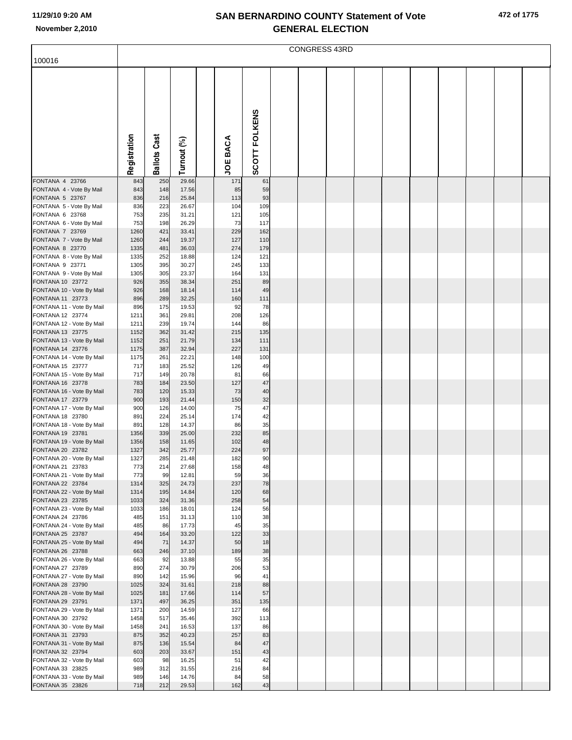|                                               | <b>CONGRESS 43RD</b> |                     |                |  |                    |               |  |  |  |  |  |  |  |  |
|-----------------------------------------------|----------------------|---------------------|----------------|--|--------------------|---------------|--|--|--|--|--|--|--|--|
| 100016                                        |                      |                     |                |  |                    |               |  |  |  |  |  |  |  |  |
|                                               | Registration         | <b>Ballots Cast</b> | Turnout (%)    |  | BACA<br><b>JOE</b> | SCOTT FOLKENS |  |  |  |  |  |  |  |  |
|                                               |                      |                     |                |  |                    |               |  |  |  |  |  |  |  |  |
| FONTANA 4 23766<br>FONTANA 4 - Vote By Mail   | 843<br>843           | 250<br>148          | 29.66<br>17.56 |  | 171<br>85          | 61<br>59      |  |  |  |  |  |  |  |  |
| FONTANA 5 23767                               | 836                  | 216                 | 25.84          |  | 113                | 93            |  |  |  |  |  |  |  |  |
| FONTANA 5 - Vote By Mail                      | 836                  | 223                 | 26.67          |  | 104                | 109           |  |  |  |  |  |  |  |  |
| FONTANA 6 23768<br>FONTANA 6 - Vote By Mail   | 753<br>753           | 235<br>198          | 31.21<br>26.29 |  | 121<br>73          | 105<br>117    |  |  |  |  |  |  |  |  |
| FONTANA 7 23769                               | 1260                 | 421                 | 33.41          |  | 229                | 162           |  |  |  |  |  |  |  |  |
| FONTANA 7 - Vote By Mail                      | 1260                 | 244                 | 19.37          |  | 127                | 110           |  |  |  |  |  |  |  |  |
| FONTANA 8 23770                               | 1335                 | 481                 | 36.03          |  | 274                | 179           |  |  |  |  |  |  |  |  |
| FONTANA 8 - Vote By Mail<br>FONTANA 9 23771   | 1335<br>1305         | 252<br>395          | 18.88<br>30.27 |  | 124<br>245         | 121<br>133    |  |  |  |  |  |  |  |  |
| FONTANA 9 - Vote By Mail                      | 1305                 | 305                 | 23.37          |  | 164                | 131           |  |  |  |  |  |  |  |  |
| FONTANA 10 23772                              | 926                  | 355                 | 38.34          |  | 251                | 89            |  |  |  |  |  |  |  |  |
| FONTANA 10 - Vote By Mail                     | 926                  | 168                 | 18.14          |  | 114                | 49            |  |  |  |  |  |  |  |  |
| FONTANA 11 23773<br>FONTANA 11 - Vote By Mail | 896<br>896           | 289<br>175          | 32.25<br>19.53 |  | 160<br>92          | 111<br>78     |  |  |  |  |  |  |  |  |
| FONTANA 12 23774                              | 1211                 | 361                 | 29.81          |  | 208                | 126           |  |  |  |  |  |  |  |  |
| FONTANA 12 - Vote By Mail                     | 1211                 | 239                 | 19.74          |  | 144                | 86            |  |  |  |  |  |  |  |  |
| FONTANA 13 23775                              | 1152                 | 362                 | 31.42          |  | 215                | 135           |  |  |  |  |  |  |  |  |
| FONTANA 13 - Vote By Mail<br>FONTANA 14 23776 | 1152<br>1175         | 251<br>387          | 21.79<br>32.94 |  | 134<br>227         | 111<br>131    |  |  |  |  |  |  |  |  |
| FONTANA 14 - Vote By Mail                     | 1175                 | 261                 | 22.21          |  | 148                | 100           |  |  |  |  |  |  |  |  |
| FONTANA 15 23777                              | 717                  | 183                 | 25.52          |  | 126                | 49            |  |  |  |  |  |  |  |  |
| FONTANA 15 - Vote By Mail                     | 717                  | 149                 | 20.78          |  | 81                 | 66            |  |  |  |  |  |  |  |  |
| FONTANA 16 23778<br>FONTANA 16 - Vote By Mail | 783<br>783           | 184<br>120          | 23.50<br>15.33 |  | 127<br>73          | 47<br>40      |  |  |  |  |  |  |  |  |
| FONTANA 17 23779                              | 900                  | 193                 | 21.44          |  | 150                | 32            |  |  |  |  |  |  |  |  |
| FONTANA 17 - Vote By Mail                     | 900                  | 126                 | 14.00          |  | 75                 | 47            |  |  |  |  |  |  |  |  |
| FONTANA 18 23780<br>FONTANA 18 - Vote By Mail | 891<br>891           | 224<br>128          | 25.14<br>14.37 |  | 174<br>86          | 42<br>35      |  |  |  |  |  |  |  |  |
| FONTANA 19 23781                              | 1356                 | 339                 | 25.00          |  | 232                | 85            |  |  |  |  |  |  |  |  |
| FONTANA 19 - Vote By Mail                     | 1356                 | 158                 | 11.65          |  | 102                | 48            |  |  |  |  |  |  |  |  |
| FONTANA 20 23782                              | 1327                 | 342                 | 25.77          |  | 224                | 97            |  |  |  |  |  |  |  |  |
| FONTANA 20 - Vote By Mail<br>FONTANA 21 23783 | 1327<br>773          | 285<br>214          | 21.48<br>27.68 |  | 182<br>158         | 90<br>48      |  |  |  |  |  |  |  |  |
| FONTANA 21 - Vote By Mail                     | 773                  | 99                  | 12.81          |  | 59                 | 36            |  |  |  |  |  |  |  |  |
| FONTANA 22 23784                              | 1314                 | 325                 | 24.73          |  | 237                | 78            |  |  |  |  |  |  |  |  |
| FONTANA 22 - Vote By Mail                     | 1314                 | 195                 | 14.84          |  | 120                | 68            |  |  |  |  |  |  |  |  |
| FONTANA 23 23785<br>FONTANA 23 - Vote By Mail | 1033<br>1033         | 324<br>186          | 31.36<br>18.01 |  | 258<br>124         | 54<br>56      |  |  |  |  |  |  |  |  |
| FONTANA 24 23786                              | 485                  | 151                 | 31.13          |  | 110                | 38            |  |  |  |  |  |  |  |  |
| FONTANA 24 - Vote By Mail                     | 485                  | 86                  | 17.73          |  | 45                 | 35            |  |  |  |  |  |  |  |  |
| FONTANA 25 23787<br>FONTANA 25 - Vote By Mail | 494<br>494           | 164<br>71           | 33.20<br>14.37 |  | 122<br>50          | 33<br>18      |  |  |  |  |  |  |  |  |
| FONTANA 26 23788                              | 663                  | 246                 | 37.10          |  | 189                | 38            |  |  |  |  |  |  |  |  |
| FONTANA 26 - Vote By Mail                     | 663                  | 92                  | 13.88          |  | 55                 | 35            |  |  |  |  |  |  |  |  |
| FONTANA 27 23789                              | 890                  | 274                 | 30.79          |  | 206                | 53            |  |  |  |  |  |  |  |  |
| FONTANA 27 - Vote By Mail<br>FONTANA 28 23790 | 890<br>1025          | 142<br>324          | 15.96<br>31.61 |  | 96<br>218          | 41<br>88      |  |  |  |  |  |  |  |  |
| FONTANA 28 - Vote By Mail                     | 1025                 | 181                 | 17.66          |  | 114                | 57            |  |  |  |  |  |  |  |  |
| FONTANA 29 23791                              | 1371                 | 497                 | 36.25          |  | 351                | 135           |  |  |  |  |  |  |  |  |
| FONTANA 29 - Vote By Mail                     | 1371                 | 200                 | 14.59          |  | 127                | 66            |  |  |  |  |  |  |  |  |
| FONTANA 30 23792<br>FONTANA 30 - Vote By Mail | 1458<br>1458         | 517<br>241          | 35.46<br>16.53 |  | 392<br>137         | 113<br>86     |  |  |  |  |  |  |  |  |
| FONTANA 31 23793                              | 875                  | 352                 | 40.23          |  | 257                | 83            |  |  |  |  |  |  |  |  |
| FONTANA 31 - Vote By Mail                     | 875                  | 136                 | 15.54          |  | 84                 | 47            |  |  |  |  |  |  |  |  |
| FONTANA 32 23794                              | 603                  | 203                 | 33.67          |  | 151                | 43            |  |  |  |  |  |  |  |  |
| FONTANA 32 - Vote By Mail<br>FONTANA 33 23825 | 603<br>989           | 98<br>312           | 16.25<br>31.55 |  | 51<br>216          | 42<br>84      |  |  |  |  |  |  |  |  |
| FONTANA 33 - Vote By Mail                     | 989                  | 146                 | 14.76          |  | 84                 | 58            |  |  |  |  |  |  |  |  |
| FONTANA 35 23826                              | 718                  | 212                 | 29.53          |  | 162                | 43            |  |  |  |  |  |  |  |  |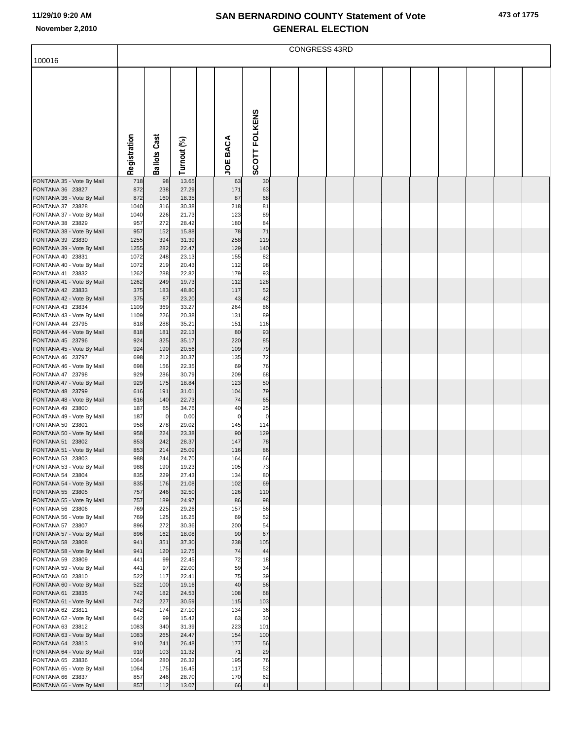|  | 473 of 1775 |
|--|-------------|
|  |             |

|                                               | <b>CONGRESS 43RD</b> |                     |                |  |                 |               |  |  |  |  |  |  |  |  |
|-----------------------------------------------|----------------------|---------------------|----------------|--|-----------------|---------------|--|--|--|--|--|--|--|--|
| 100016                                        |                      |                     |                |  |                 |               |  |  |  |  |  |  |  |  |
|                                               |                      |                     |                |  |                 |               |  |  |  |  |  |  |  |  |
|                                               | Registration         | <b>Ballots Cast</b> | Turnout (%)    |  | <b>JOE BACA</b> | SCOTT FOLKENS |  |  |  |  |  |  |  |  |
| FONTANA 35 - Vote By Mail                     | 718                  | 98                  | 13.65          |  | 63              | 30            |  |  |  |  |  |  |  |  |
| FONTANA 36 23827                              | 872                  | 238                 | 27.29          |  | 171             | 63            |  |  |  |  |  |  |  |  |
| FONTANA 36 - Vote By Mail                     | 872                  | 160                 | 18.35          |  | 87              | 68            |  |  |  |  |  |  |  |  |
| FONTANA 37 23828                              | 1040                 | 316                 | 30.38          |  | 218             | 81            |  |  |  |  |  |  |  |  |
| FONTANA 37 - Vote By Mail<br>FONTANA 38 23829 | 1040<br>957          | 226<br>272          | 21.73<br>28.42 |  | 123<br>180      | 89<br>84      |  |  |  |  |  |  |  |  |
| FONTANA 38 - Vote By Mail                     | 957                  | 152                 | 15.88          |  | 78              | 71            |  |  |  |  |  |  |  |  |
| FONTANA 39 23830                              | 1255                 | 394                 | 31.39          |  | 258             | 119           |  |  |  |  |  |  |  |  |
| FONTANA 39 - Vote By Mail                     | 1255                 | 282                 | 22.47          |  | 129             | 140           |  |  |  |  |  |  |  |  |
| FONTANA 40 23831<br>FONTANA 40 - Vote By Mail | 1072<br>1072         | 248<br>219          | 23.13<br>20.43 |  | 155<br>112      | 82<br>98      |  |  |  |  |  |  |  |  |
| FONTANA 41 23832                              | 1262                 | 288                 | 22.82          |  | 179             | 93            |  |  |  |  |  |  |  |  |
| FONTANA 41 - Vote By Mail                     | 1262                 | 249                 | 19.73          |  | 112             | 128           |  |  |  |  |  |  |  |  |
| FONTANA 42 23833                              | 375                  | 183                 | 48.80          |  | 117             | 52            |  |  |  |  |  |  |  |  |
| FONTANA 42 - Vote By Mail                     | 375                  | 87                  | 23.20          |  | 43              | 42            |  |  |  |  |  |  |  |  |
| FONTANA 43 23834<br>FONTANA 43 - Vote By Mail | 1109<br>1109         | 369<br>226          | 33.27<br>20.38 |  | 264<br>131      | 86<br>89      |  |  |  |  |  |  |  |  |
| FONTANA 44 23795                              | 818                  | 288                 | 35.21          |  | 151             | 116           |  |  |  |  |  |  |  |  |
| FONTANA 44 - Vote By Mail                     | 818                  | 181                 | 22.13          |  | 80              | 93            |  |  |  |  |  |  |  |  |
| FONTANA 45 23796                              | 924                  | 325                 | 35.17          |  | 220             | 85            |  |  |  |  |  |  |  |  |
| FONTANA 45 - Vote By Mail<br>FONTANA 46 23797 | 924<br>698           | 190<br>212          | 20.56<br>30.37 |  | 109<br>135      | 79<br>72      |  |  |  |  |  |  |  |  |
| FONTANA 46 - Vote By Mail                     | 698                  | 156                 | 22.35          |  | 69              | 76            |  |  |  |  |  |  |  |  |
| FONTANA 47 23798                              | 929                  | 286                 | 30.79          |  | 209             | 68            |  |  |  |  |  |  |  |  |
| FONTANA 47 - Vote By Mail                     | 929                  | 175                 | 18.84          |  | 123             | 50            |  |  |  |  |  |  |  |  |
| FONTANA 48 23799<br>FONTANA 48 - Vote By Mail | 616<br>616           | 191<br>140          | 31.01<br>22.73 |  | 104<br>74       | 79<br>65      |  |  |  |  |  |  |  |  |
| FONTANA 49 23800                              | 187                  | 65                  | 34.76          |  | 40              | 25            |  |  |  |  |  |  |  |  |
| FONTANA 49 - Vote By Mail                     | 187                  | $\overline{0}$      | 0.00           |  | $\mathbf 0$     | $\mathbf 0$   |  |  |  |  |  |  |  |  |
| FONTANA 50 23801                              | 958                  | 278                 | 29.02          |  | 145             | 114           |  |  |  |  |  |  |  |  |
| FONTANA 50 - Vote By Mail<br>FONTANA 51 23802 | 958<br>853           | 224<br>242          | 23.38<br>28.37 |  | 90<br>147       | 129<br>78     |  |  |  |  |  |  |  |  |
| FONTANA 51 - Vote By Mail                     | 853                  | 214                 | 25.09          |  | 116             | 86            |  |  |  |  |  |  |  |  |
| FONTANA 53 23803                              | 988                  | 244                 | 24.70          |  | 164             | 66            |  |  |  |  |  |  |  |  |
| FONTANA 53 - Vote By Mail                     | 988                  | 190                 | 19.23          |  | 105             | 73            |  |  |  |  |  |  |  |  |
| FONTANA 54 23804<br>FONTANA 54 - Vote By Mail | 835<br>835           | 229<br>176          | 27.43<br>21.08 |  | 134<br>102      | 80<br>69      |  |  |  |  |  |  |  |  |
| FONTANA 55 23805                              | 757                  | 246                 | 32.50          |  | 126             | 110           |  |  |  |  |  |  |  |  |
| FONTANA 55 - Vote By Mail                     | 757                  | 189                 | 24.97          |  | 86              | 98            |  |  |  |  |  |  |  |  |
| FONTANA 56 23806                              | 769                  | 225                 | 29.26          |  | 157             | 56            |  |  |  |  |  |  |  |  |
| FONTANA 56 - Vote By Mail<br>FONTANA 57 23807 | 769<br>896           | 125<br>272          | 16.25<br>30.36 |  | 69<br>200       | 52<br>54      |  |  |  |  |  |  |  |  |
| FONTANA 57 - Vote By Mail                     | 896                  | 162                 | 18.08          |  | 90              | 67            |  |  |  |  |  |  |  |  |
| FONTANA 58 23808                              | 941                  | 351                 | 37.30          |  | 238             | 105           |  |  |  |  |  |  |  |  |
| FONTANA 58 - Vote By Mail                     | 941                  | 120                 | 12.75          |  | 74<br>72        | 44            |  |  |  |  |  |  |  |  |
| FONTANA 59 23809<br>FONTANA 59 - Vote By Mail | 441<br>441           | 99<br>97            | 22.45<br>22.00 |  | 59              | 18<br>34      |  |  |  |  |  |  |  |  |
| FONTANA 60 23810                              | 522                  | 117                 | 22.41          |  | 75              | 39            |  |  |  |  |  |  |  |  |
| FONTANA 60 - Vote By Mail                     | 522                  | 100                 | 19.16          |  | 40              | 56            |  |  |  |  |  |  |  |  |
| FONTANA 61 23835                              | 742                  | 182                 | 24.53          |  | 108             | 68            |  |  |  |  |  |  |  |  |
| FONTANA 61 - Vote By Mail<br>FONTANA 62 23811 | 742<br>642           | 227<br>174          | 30.59<br>27.10 |  | 115<br>134      | 103<br>36     |  |  |  |  |  |  |  |  |
| FONTANA 62 - Vote By Mail                     | 642                  | 99                  | 15.42          |  | 63              | 30            |  |  |  |  |  |  |  |  |
| FONTANA 63 23812                              | 1083                 | 340                 | 31.39          |  | 223             | 101           |  |  |  |  |  |  |  |  |
| FONTANA 63 - Vote By Mail                     | 1083                 | 265                 | 24.47          |  | 154             | 100           |  |  |  |  |  |  |  |  |
| FONTANA 64 23813<br>FONTANA 64 - Vote By Mail | 910<br>910           | 241<br>103          | 26.48<br>11.32 |  | 177<br>71       | 56<br>29      |  |  |  |  |  |  |  |  |
| FONTANA 65 23836                              | 1064                 | 280                 | 26.32          |  | 195             | 76            |  |  |  |  |  |  |  |  |
| FONTANA 65 - Vote By Mail                     | 1064                 | 175                 | 16.45          |  | 117             | 52            |  |  |  |  |  |  |  |  |
| FONTANA 66 23837                              | 857                  | 246                 | 28.70          |  | 170             | 62            |  |  |  |  |  |  |  |  |
| FONTANA 66 - Vote By Mail                     | 857                  | 112                 | 13.07          |  | 66              | $41\,$        |  |  |  |  |  |  |  |  |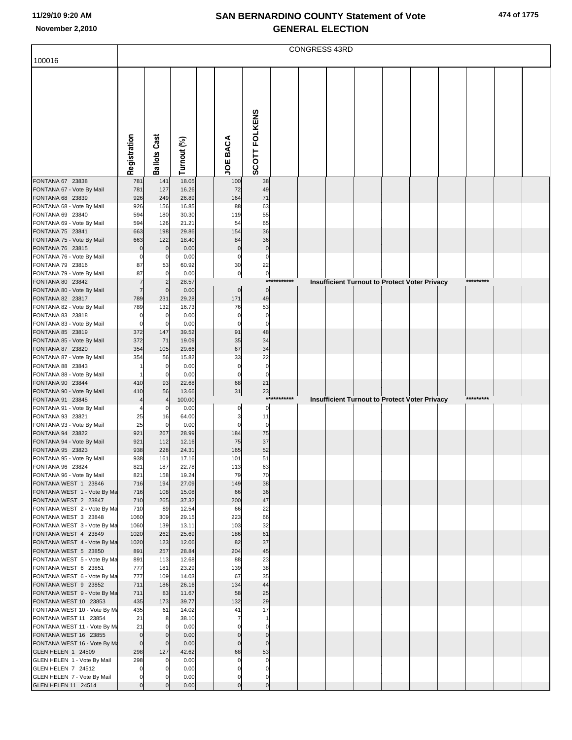|                                                       | CONGRESS 43RD                    |                               |                 |  |                            |                            |             |  |  |  |                                                      |  |           |  |
|-------------------------------------------------------|----------------------------------|-------------------------------|-----------------|--|----------------------------|----------------------------|-------------|--|--|--|------------------------------------------------------|--|-----------|--|
| 100016                                                |                                  |                               |                 |  |                            |                            |             |  |  |  |                                                      |  |           |  |
|                                                       |                                  |                               |                 |  |                            |                            |             |  |  |  |                                                      |  |           |  |
|                                                       |                                  |                               |                 |  |                            |                            |             |  |  |  |                                                      |  |           |  |
|                                                       |                                  |                               |                 |  |                            |                            |             |  |  |  |                                                      |  |           |  |
|                                                       |                                  |                               |                 |  |                            |                            |             |  |  |  |                                                      |  |           |  |
|                                                       |                                  |                               |                 |  |                            |                            |             |  |  |  |                                                      |  |           |  |
|                                                       |                                  |                               |                 |  |                            |                            |             |  |  |  |                                                      |  |           |  |
|                                                       |                                  |                               |                 |  |                            |                            |             |  |  |  |                                                      |  |           |  |
|                                                       |                                  |                               |                 |  |                            |                            |             |  |  |  |                                                      |  |           |  |
|                                                       |                                  |                               |                 |  |                            |                            |             |  |  |  |                                                      |  |           |  |
|                                                       | Registration                     | <b>Ballots Cast</b>           | Turnout (%)     |  | <b>JOE BACA</b>            | SCOTT FOLKENS              |             |  |  |  |                                                      |  |           |  |
| FONTANA 67 23838                                      | 781                              | 141                           | 18.05           |  | 100                        | 38                         |             |  |  |  |                                                      |  |           |  |
| FONTANA 67 - Vote By Mail                             | 781                              | 127                           | 16.26           |  | 72                         | 49                         |             |  |  |  |                                                      |  |           |  |
| FONTANA 68 23839<br>FONTANA 68 - Vote By Mail         | 926<br>926                       | 249<br>156                    | 26.89<br>16.85  |  | 164<br>88                  | 71<br>63                   |             |  |  |  |                                                      |  |           |  |
| FONTANA 69 23840                                      | 594                              | 180                           | 30.30           |  | 119                        | 55                         |             |  |  |  |                                                      |  |           |  |
| FONTANA 69 - Vote By Mail                             | 594                              | 126                           | 21.21           |  | 54                         | 65                         |             |  |  |  |                                                      |  |           |  |
| FONTANA 75 23841                                      | 663                              | 198                           | 29.86           |  | 154                        | 36                         |             |  |  |  |                                                      |  |           |  |
| FONTANA 75 - Vote By Mail<br>FONTANA 76 23815         | 663<br>$\mathbf 0$               | 122<br>$\mathbf 0$            | 18.40<br>0.00   |  | 84<br>$\mathbf 0$          | 36<br>$\mathbf 0$          |             |  |  |  |                                                      |  |           |  |
| FONTANA 76 - Vote By Mail                             | $\mathbf 0$                      | 0                             | 0.00            |  | $\mathbf 0$                | $\mathbf 0$                |             |  |  |  |                                                      |  |           |  |
| FONTANA 79 23816                                      | 87                               | 53                            | 60.92           |  | 30                         | 22                         |             |  |  |  |                                                      |  |           |  |
| FONTANA 79 - Vote By Mail                             | 87                               | $\overline{0}$                | 0.00            |  | $\pmb{0}$                  | $\overline{0}$<br>$***$    | *******     |  |  |  |                                                      |  | ********* |  |
| FONTANA 80 23842<br>FONTANA 80 - Vote By Mail         | $\overline{7}$<br>$\overline{7}$ | 2<br>$\mathbf 0$              | 28.57<br>0.00   |  | $\pmb{0}$                  | $\mathbf 0$                |             |  |  |  | <b>Insufficient Turnout to Protect Voter Privacy</b> |  |           |  |
| FONTANA 82 23817                                      | 789                              | 231                           | 29.28           |  | 171                        | 49                         |             |  |  |  |                                                      |  |           |  |
| FONTANA 82 - Vote By Mail                             | 789                              | 132                           | 16.73           |  | 76                         | 53                         |             |  |  |  |                                                      |  |           |  |
| FONTANA 83 23818                                      | $\mathbf 0$<br>$\mathbf 0$       | 0<br>$\mathbf 0$              | 0.00<br>0.00    |  | $\mathbf 0$<br>$\mathbf 0$ | $\mathbf 0$<br>$\mathbf 0$ |             |  |  |  |                                                      |  |           |  |
| FONTANA 83 - Vote By Mail<br>FONTANA 85 23819         | 372                              | 147                           | 39.52           |  | 91                         | 48                         |             |  |  |  |                                                      |  |           |  |
| FONTANA 85 - Vote By Mail                             | 372                              | 71                            | 19.09           |  | 35                         | 34                         |             |  |  |  |                                                      |  |           |  |
| FONTANA 87 23820                                      | 354                              | 105                           | 29.66           |  | 67                         | 34                         |             |  |  |  |                                                      |  |           |  |
| FONTANA 87 - Vote By Mail<br>FONTANA 88 23843         | 354                              | 56<br>0                       | 15.82<br>0.00   |  | 33<br>$\mathbf 0$          | 22<br>$\mathbf 0$          |             |  |  |  |                                                      |  |           |  |
| FONTANA 88 - Vote By Mail                             |                                  | $\mathbf 0$                   | 0.00            |  | $\mathbf 0$                | $\mathbf 0$                |             |  |  |  |                                                      |  |           |  |
| FONTANA 90 23844                                      | 410                              | 93                            | 22.68           |  | 68                         | 21                         |             |  |  |  |                                                      |  |           |  |
| FONTANA 90 - Vote By Mail<br>FONTANA 91 23845         | 410<br>$\overline{4}$            | 56<br>$\overline{4}$          | 13.66<br>100.00 |  | 31                         | 23                         | *********** |  |  |  | Insufficient Turnout to Protect Voter Privacy        |  | ********* |  |
| FONTANA 91 - Vote By Mail                             |                                  | 0                             | 0.00            |  | 0                          | 0                          |             |  |  |  |                                                      |  |           |  |
| FONTANA 93 23821                                      | 25                               | 16                            | 64.00           |  | 3                          | 11                         |             |  |  |  |                                                      |  |           |  |
| FONTANA 93 - Vote By Mail                             | 25                               | $\overline{0}$                | 0.00            |  | $\Omega$                   | $\mathbf 0$                |             |  |  |  |                                                      |  |           |  |
| FONTANA 94 23822<br>FONTANA 94 - Vote By Mail         | 921<br>921                       | 267<br>112                    | 28.99<br>12.16  |  | 184<br>75                  | 75<br>37                   |             |  |  |  |                                                      |  |           |  |
| FONTANA 95 23823                                      | 938                              | 228                           | 24.31           |  | 165                        | 52                         |             |  |  |  |                                                      |  |           |  |
| FONTANA 95 - Vote By Mail                             | 938                              | 161                           | 17.16           |  | 101                        | 51                         |             |  |  |  |                                                      |  |           |  |
| FONTANA 96 23824<br>FONTANA 96 - Vote By Mail         | 821<br>821                       | 187<br>158                    | 22.78<br>19.24  |  | 113<br>79                  | 63<br>70                   |             |  |  |  |                                                      |  |           |  |
| FONTANA WEST 1 23846                                  | 716                              | 194                           | 27.09           |  | 149                        | 38                         |             |  |  |  |                                                      |  |           |  |
| FONTANA WEST 1 - Vote By Ma                           | 716                              | 108                           | 15.08           |  | 66                         | 36                         |             |  |  |  |                                                      |  |           |  |
| FONTANA WEST 2 23847                                  | 710                              | 265                           | 37.32           |  | 200                        | 47                         |             |  |  |  |                                                      |  |           |  |
| FONTANA WEST 2 - Vote By Ma<br>FONTANA WEST 3 23848   | 710<br>1060                      | 89<br>309                     | 12.54<br>29.15  |  | 66<br>223                  | 22<br>66                   |             |  |  |  |                                                      |  |           |  |
| FONTANA WEST 3 - Vote By Ma                           | 1060                             | 139                           | 13.11           |  | 103                        | 32                         |             |  |  |  |                                                      |  |           |  |
| FONTANA WEST 4 23849                                  | 1020                             | 262                           | 25.69           |  | 186                        | 61                         |             |  |  |  |                                                      |  |           |  |
| FONTANA WEST 4 - Vote By Ma<br>FONTANA WEST 5 23850   | 1020<br>891                      | 123<br>257                    | 12.06<br>28.84  |  | 82<br>204                  | 37<br>45                   |             |  |  |  |                                                      |  |           |  |
| FONTANA WEST 5 - Vote By Ma                           | 891                              | 113                           | 12.68           |  | 88                         | 23                         |             |  |  |  |                                                      |  |           |  |
| FONTANA WEST 6 23851                                  | 777                              | 181                           | 23.29           |  | 139                        | 38                         |             |  |  |  |                                                      |  |           |  |
| FONTANA WEST 6 - Vote By Ma                           | 777                              | 109                           | 14.03           |  | 67                         | 35                         |             |  |  |  |                                                      |  |           |  |
| FONTANA WEST 9 23852<br>FONTANA WEST 9 - Vote By Ma   | 711<br>711                       | 186<br>83                     | 26.16<br>11.67  |  | 134<br>58                  | 44<br>25                   |             |  |  |  |                                                      |  |           |  |
| FONTANA WEST 10 23853                                 | 435                              | 173                           | 39.77           |  | 132                        | 29                         |             |  |  |  |                                                      |  |           |  |
| FONTANA WEST 10 - Vote By Ma                          | 435                              | 61                            | 14.02           |  | 41                         | 17                         |             |  |  |  |                                                      |  |           |  |
| FONTANA WEST 11 23854<br>FONTANA WEST 11 - Vote By Ma | 21<br>21                         | 8<br>$\Omega$                 | 38.10<br>0.00   |  | 7<br>$\mathsf{C}$          | $\mathbf{1}$<br>$\Omega$   |             |  |  |  |                                                      |  |           |  |
| FONTANA WEST 16 23855                                 | $\mathbf 0$                      | $\mathbf 0$                   | 0.00            |  |                            | $\Omega$                   |             |  |  |  |                                                      |  |           |  |
| FONTANA WEST 16 - Vote By Ma                          | $\mathbf 0$                      | $\overline{0}$                | 0.00            |  | $\mathbf 0$                | $\mathbf 0$                |             |  |  |  |                                                      |  |           |  |
| GLEN HELEN 1 24509                                    | 298                              | 127                           | 42.62           |  | 68                         | 53                         |             |  |  |  |                                                      |  |           |  |
| GLEN HELEN 1 - Vote By Mail<br>GLEN HELEN 7 24512     | 298<br>$\mathbf 0$               | $\overline{0}$<br>$\mathbf 0$ | 0.00<br>0.00    |  | $\Omega$                   | $\Omega$<br>0              |             |  |  |  |                                                      |  |           |  |
| GLEN HELEN 7 - Vote By Mail                           | $\mathbf 0$                      | $\mathbf{0}$                  | 0.00            |  | 0                          | 0                          |             |  |  |  |                                                      |  |           |  |
| GLEN HELEN 11 24514                                   | $\overline{0}$                   | $\Omega$                      | 0.00            |  | $\Omega$                   | $\mathbf 0$                |             |  |  |  |                                                      |  |           |  |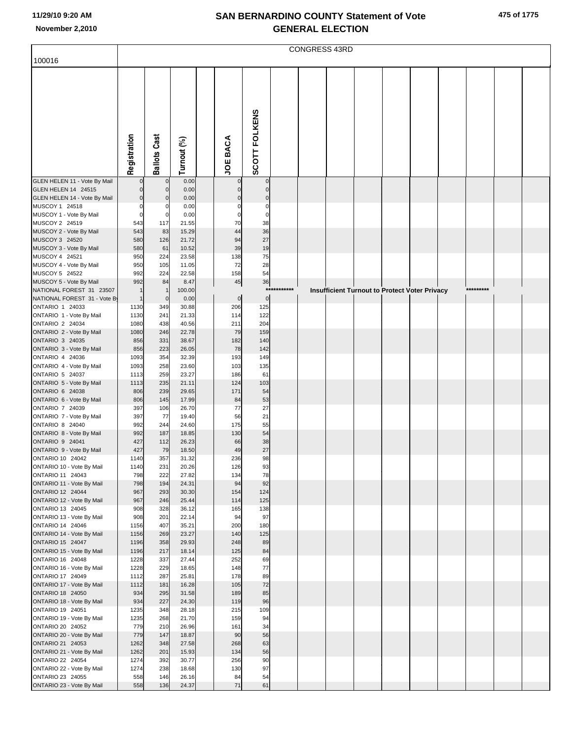| 475 of 1775 |  |
|-------------|--|
|-------------|--|

|                                                          | <b>CONGRESS 43RD</b> |                             |                |  |                 |               |             |  |  |                                                      |  |  |           |  |
|----------------------------------------------------------|----------------------|-----------------------------|----------------|--|-----------------|---------------|-------------|--|--|------------------------------------------------------|--|--|-----------|--|
| 100016                                                   |                      |                             |                |  |                 |               |             |  |  |                                                      |  |  |           |  |
|                                                          | Registration         | <b>Ballots Cast</b>         | Turnout (%)    |  | <b>JOE BACA</b> | SCOTT FOLKENS |             |  |  |                                                      |  |  |           |  |
| GLEN HELEN 11 - Vote By Mail                             |                      | 0                           | 0.00           |  |                 | 0             |             |  |  |                                                      |  |  |           |  |
| GLEN HELEN 14 24515                                      | $\Omega$             | $\mathbf 0$                 | 0.00           |  | $\Omega$        |               |             |  |  |                                                      |  |  |           |  |
| GLEN HELEN 14 - Vote By Mail<br>MUSCOY 1 24518           | $\mathbf 0$<br>0     | $\mathbf 0$<br>0            | 0.00<br>0.00   |  | 0               | $\Omega$<br>0 |             |  |  |                                                      |  |  |           |  |
| MUSCOY 1 - Vote By Mail                                  | $\mathbf 0$          | 0                           | 0.00           |  | 0               | $\Omega$      |             |  |  |                                                      |  |  |           |  |
| MUSCOY 2 24519                                           | 543                  | 117                         | 21.55          |  | 70              | 38            |             |  |  |                                                      |  |  |           |  |
| MUSCOY 2 - Vote By Mail                                  | 543                  | 83                          | 15.29          |  | 44              | 36            |             |  |  |                                                      |  |  |           |  |
| MUSCOY 3 24520<br>MUSCOY 3 - Vote By Mail                | 580                  | 126                         | 21.72          |  | 94              | 27            |             |  |  |                                                      |  |  |           |  |
| MUSCOY 4 24521                                           | 580<br>950           | 61<br>224                   | 10.52<br>23.58 |  | 39<br>138       | 19<br>75      |             |  |  |                                                      |  |  |           |  |
| MUSCOY 4 - Vote By Mail                                  | 950                  | 105                         | 11.05          |  | 72              | 28            |             |  |  |                                                      |  |  |           |  |
| MUSCOY 5 24522                                           | 992                  | 224                         | 22.58          |  | 158             | 54            |             |  |  |                                                      |  |  |           |  |
| MUSCOY 5 - Vote By Mail                                  | 992                  | 84                          | 8.47           |  | 45              | 36            | *********** |  |  |                                                      |  |  | ********* |  |
| NATIONAL FOREST 31 23507<br>NATIONAL FOREST 31 - Vote By |                      | $\mathbf{1}$<br>$\mathbf 0$ | 100.00<br>0.00 |  | $\overline{0}$  | $\mathbf 0$   |             |  |  | <b>Insufficient Turnout to Protect Voter Privacy</b> |  |  |           |  |
| ONTARIO 1 24033                                          | 1130                 | 349                         | 30.88          |  | 206             | 125           |             |  |  |                                                      |  |  |           |  |
| ONTARIO 1 - Vote By Mail                                 | 1130                 | 241                         | 21.33          |  | 114             | 122           |             |  |  |                                                      |  |  |           |  |
| ONTARIO 2 24034                                          | 1080                 | 438                         | 40.56          |  | 211             | 204           |             |  |  |                                                      |  |  |           |  |
| ONTARIO 2 - Vote By Mail                                 | 1080                 | 246                         | 22.78          |  | 79              | 159           |             |  |  |                                                      |  |  |           |  |
| ONTARIO 3 24035<br>ONTARIO 3 - Vote By Mail              | 856<br>856           | 331<br>223                  | 38.67<br>26.05 |  | 182<br>78       | 140<br>142    |             |  |  |                                                      |  |  |           |  |
| ONTARIO 4 24036                                          | 1093                 | 354                         | 32.39          |  | 193             | 149           |             |  |  |                                                      |  |  |           |  |
| ONTARIO 4 - Vote By Mail                                 | 1093                 | 258                         | 23.60          |  | 103             | 135           |             |  |  |                                                      |  |  |           |  |
| ONTARIO 5 24037                                          | 1113                 | 259                         | 23.27          |  | 186             | 61            |             |  |  |                                                      |  |  |           |  |
| ONTARIO 5 - Vote By Mail<br>ONTARIO 6 24038              | 1113<br>806          | 235<br>239                  | 21.11<br>29.65 |  | 124<br>171      | 103<br>54     |             |  |  |                                                      |  |  |           |  |
| ONTARIO 6 - Vote By Mail                                 | 806                  | 145                         | 17.99          |  | 84              | 53            |             |  |  |                                                      |  |  |           |  |
| ONTARIO 7 24039                                          | 397                  | 106                         | 26.70          |  | 77              | 27            |             |  |  |                                                      |  |  |           |  |
| ONTARIO 7 - Vote By Mail                                 | 397                  | 77                          | 19.40          |  | 56              | 21            |             |  |  |                                                      |  |  |           |  |
| ONTARIO 8 24040                                          | 992                  | 244                         | 24.60          |  | 175             | 55            |             |  |  |                                                      |  |  |           |  |
| ONTARIO 8 - Vote By Mail<br>ONTARIO 9 24041              | 992<br>427           | 187<br>112                  | 18.85<br>26.23 |  | 130<br>66       | 54<br>38      |             |  |  |                                                      |  |  |           |  |
| ONTARIO 9 - Vote By Mail                                 | 427                  | 79                          | 18.50          |  | 49              | 27            |             |  |  |                                                      |  |  |           |  |
| ONTARIO 10 24042                                         | 1140                 | 357                         | 31.32          |  | 236             | 98            |             |  |  |                                                      |  |  |           |  |
| ONTARIO 10 - Vote By Mail                                | 1140                 | 231                         | 20.26          |  | 126             | 93            |             |  |  |                                                      |  |  |           |  |
| ONTARIO 11 24043<br>ONTARIO 11 - Vote By Mail            | 798<br>798           | 222<br>194                  | 27.82<br>24.31 |  | 134<br>94       | 78<br>92      |             |  |  |                                                      |  |  |           |  |
| <b>ONTARIO 12 24044</b>                                  | 967                  | 293                         | 30.30          |  | 154             | 124           |             |  |  |                                                      |  |  |           |  |
| ONTARIO 12 - Vote By Mail                                | 967                  | 246                         | 25.44          |  | 114             | 125           |             |  |  |                                                      |  |  |           |  |
| ONTARIO 13 24045                                         | 908                  | 328                         | 36.12          |  | 165             | 138           |             |  |  |                                                      |  |  |           |  |
| ONTARIO 13 - Vote By Mail<br>ONTARIO 14 24046            | 908<br>1156          | 201<br>407                  | 22.14<br>35.21 |  | 94<br>200       | 97<br>180     |             |  |  |                                                      |  |  |           |  |
| ONTARIO 14 - Vote By Mail                                | 1156                 | 269                         | 23.27          |  | 140             | 125           |             |  |  |                                                      |  |  |           |  |
| <b>ONTARIO 15 24047</b>                                  | 1196                 | 358                         | 29.93          |  | 248             | 89            |             |  |  |                                                      |  |  |           |  |
| ONTARIO 15 - Vote By Mail                                | 1196                 | 217                         | 18.14          |  | 125             | 84            |             |  |  |                                                      |  |  |           |  |
| ONTARIO 16 24048<br>ONTARIO 16 - Vote By Mail            | 1228<br>1228         | 337<br>229                  | 27.44<br>18.65 |  | 252<br>148      | 69<br>77      |             |  |  |                                                      |  |  |           |  |
| ONTARIO 17 24049                                         | 1112                 | 287                         | 25.81          |  | 178             | 89            |             |  |  |                                                      |  |  |           |  |
| ONTARIO 17 - Vote By Mail                                | 1112                 | 181                         | 16.28          |  | 105             | 72            |             |  |  |                                                      |  |  |           |  |
| <b>ONTARIO 18 24050</b>                                  | 934                  | 295                         | 31.58          |  | 189             | 85            |             |  |  |                                                      |  |  |           |  |
| ONTARIO 18 - Vote By Mail                                | 934                  | 227                         | 24.30          |  | 119             | 96            |             |  |  |                                                      |  |  |           |  |
| ONTARIO 19 24051<br>ONTARIO 19 - Vote By Mail            | 1235<br>1235         | 348<br>268                  | 28.18<br>21.70 |  | 215<br>159      | 109<br>94     |             |  |  |                                                      |  |  |           |  |
| ONTARIO 20 24052                                         | 779                  | 210                         | 26.96          |  | 161             | 34            |             |  |  |                                                      |  |  |           |  |
| ONTARIO 20 - Vote By Mail                                | 779                  | 147                         | 18.87          |  | 90              | 56            |             |  |  |                                                      |  |  |           |  |
| ONTARIO 21 24053                                         | 1262                 | 348                         | 27.58          |  | 268             | 63            |             |  |  |                                                      |  |  |           |  |
| ONTARIO 21 - Vote By Mail                                | 1262                 | 201                         | 15.93          |  | 134             | 56            |             |  |  |                                                      |  |  |           |  |
| ONTARIO 22 24054<br>ONTARIO 22 - Vote By Mail            | 1274<br>1274         | 392<br>238                  | 30.77<br>18.68 |  | 256<br>130      | 90<br>97      |             |  |  |                                                      |  |  |           |  |
| ONTARIO 23 24055                                         | 558                  | 146                         | 26.16          |  | 84              | 54            |             |  |  |                                                      |  |  |           |  |
| ONTARIO 23 - Vote By Mail                                | 558                  | 136                         | 24.37          |  | 71              | 61            |             |  |  |                                                      |  |  |           |  |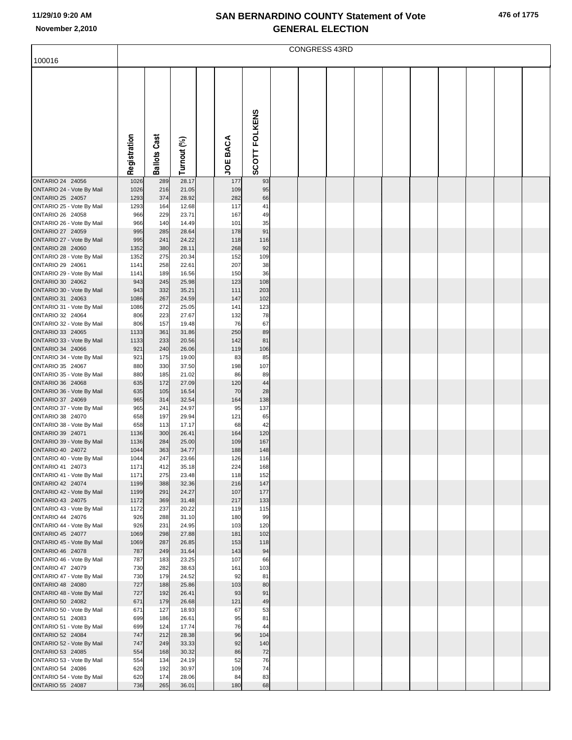|                                                                                                | <b>CONGRESS 43RD</b>         |                          |                                  |  |                          |                        |  |  |  |  |  |  |  |  |
|------------------------------------------------------------------------------------------------|------------------------------|--------------------------|----------------------------------|--|--------------------------|------------------------|--|--|--|--|--|--|--|--|
| 100016                                                                                         |                              |                          |                                  |  |                          |                        |  |  |  |  |  |  |  |  |
|                                                                                                | Registration                 | <b>Ballots Cast</b>      | Turnout (%)                      |  | <b>JOE BACA</b>          | SCOTT FOLKENS          |  |  |  |  |  |  |  |  |
|                                                                                                |                              |                          |                                  |  |                          |                        |  |  |  |  |  |  |  |  |
| ONTARIO 24 24056<br>ONTARIO 24 - Vote By Mail<br>ONTARIO 25 24057<br>ONTARIO 25 - Vote By Mail | 1026<br>1026<br>1293<br>1293 | 289<br>216<br>374<br>164 | 28.17<br>21.05<br>28.92<br>12.68 |  | 177<br>109<br>282<br>117 | 93<br>95<br>66<br>41   |  |  |  |  |  |  |  |  |
| ONTARIO 26 24058<br>ONTARIO 26 - Vote By Mail                                                  | 966<br>966                   | 229<br>140               | 23.71<br>14.49                   |  | 167<br>101               | 49<br>35               |  |  |  |  |  |  |  |  |
| ONTARIO 27 24059<br>ONTARIO 27 - Vote By Mail<br>ONTARIO 28 24060<br>ONTARIO 28 - Vote By Mail | 995<br>995<br>1352<br>1352   | 285<br>241<br>380<br>275 | 28.64<br>24.22<br>28.11<br>20.34 |  | 178<br>118<br>268<br>152 | 91<br>116<br>92<br>109 |  |  |  |  |  |  |  |  |
| ONTARIO 29 24061<br>ONTARIO 29 - Vote By Mail<br>ONTARIO 30 24062                              | 1141<br>1141<br>943          | 258<br>189<br>245        | 22.61<br>16.56<br>25.98          |  | 207<br>150<br>123        | 38<br>36<br>108        |  |  |  |  |  |  |  |  |
| ONTARIO 30 - Vote By Mail<br>ONTARIO 31 24063<br>ONTARIO 31 - Vote By Mail                     | 943<br>1086<br>1086          | 332<br>267<br>272        | 35.21<br>24.59<br>25.05          |  | 111<br>147<br>141        | 203<br>102<br>123      |  |  |  |  |  |  |  |  |
| ONTARIO 32 24064<br>ONTARIO 32 - Vote By Mail                                                  | 806<br>806                   | 223<br>157               | 27.67<br>19.48                   |  | 132<br>76                | 78<br>67               |  |  |  |  |  |  |  |  |
| ONTARIO 33 24065<br>ONTARIO 33 - Vote By Mail<br>ONTARIO 34 24066                              | 1133<br>1133<br>921          | 361<br>233<br>240        | 31.86<br>20.56<br>26.06          |  | 250<br>142<br>119        | 89<br>81<br>106        |  |  |  |  |  |  |  |  |
| ONTARIO 34 - Vote By Mail<br>ONTARIO 35 24067<br>ONTARIO 35 - Vote By Mail                     | 921<br>880<br>880            | 175<br>330<br>185        | 19.00<br>37.50<br>21.02          |  | 83<br>198<br>86          | 85<br>107<br>89        |  |  |  |  |  |  |  |  |
| ONTARIO 36 24068<br>ONTARIO 36 - Vote By Mail                                                  | 635<br>635                   | 172<br>105               | 27.09<br>16.54                   |  | 120<br>70                | 44<br>28               |  |  |  |  |  |  |  |  |
| ONTARIO 37 24069<br>ONTARIO 37 - Vote By Mail<br>ONTARIO 38 24070                              | 965<br>965<br>658            | 314<br>241<br>197        | 32.54<br>24.97<br>29.94          |  | 164<br>95<br>121         | 138<br>137<br>65       |  |  |  |  |  |  |  |  |
| ONTARIO 38 - Vote By Mail<br>ONTARIO 39 24071<br>ONTARIO 39 - Vote By Mail                     | 658<br>1136<br>1136          | 113<br>300<br>284        | 17.17<br>26.41<br>25.00          |  | 68<br>164<br>109         | 42<br>120<br>167       |  |  |  |  |  |  |  |  |
| ONTARIO 40 24072<br>ONTARIO 40 - Vote By Mail<br>ONTARIO 41 24073                              | 1044<br>1044<br>1171         | 363<br>247<br>412        | 34.77<br>23.66<br>35.18          |  | 188<br>126<br>224        | 148<br>116<br>168      |  |  |  |  |  |  |  |  |
| ONTARIO 41 - Vote By Mail<br>ONTARIO 42 24074<br>ONTARIO 42 - Vote By Mail                     | 1171<br>1199<br>1199         | 275<br>388<br>291        | 23.48<br>32.36<br>24.27          |  | 118<br>216<br>107        | 152<br>147<br>177      |  |  |  |  |  |  |  |  |
| ONTARIO 43 24075<br>ONTARIO 43 - Vote By Mail<br>ONTARIO 44 24076                              | 1172<br>1172<br>926          | 369<br>237<br>288        | 31.48<br>20.22<br>31.10          |  | 217<br>119<br>180        | 133<br>115<br>99       |  |  |  |  |  |  |  |  |
| ONTARIO 44 - Vote By Mail<br>ONTARIO 45 24077                                                  | 926<br>1069                  | 231<br>298               | 24.95<br>27.88                   |  | 103<br>181               | 120<br>102             |  |  |  |  |  |  |  |  |
| ONTARIO 45 - Vote By Mail<br>ONTARIO 46 24078<br>ONTARIO 46 - Vote By Mail                     | 1069<br>787<br>787           | 287<br>249<br>183        | 26.85<br>31.64<br>23.25          |  | 153<br>143<br>107        | 118<br>94<br>66        |  |  |  |  |  |  |  |  |
| ONTARIO 47 24079<br>ONTARIO 47 - Vote By Mail<br>ONTARIO 48 24080                              | 730<br>730<br>727            | 282<br>179<br>188        | 38.63<br>24.52<br>25.86          |  | 161<br>92<br>103         | 103<br>81<br>80        |  |  |  |  |  |  |  |  |
| ONTARIO 48 - Vote By Mail<br>ONTARIO 50 24082                                                  | 727<br>671                   | 192<br>179               | 26.41<br>26.68                   |  | 93<br>121                | 91<br>49               |  |  |  |  |  |  |  |  |
| ONTARIO 50 - Vote By Mail<br>ONTARIO 51 24083<br>ONTARIO 51 - Vote By Mail                     | 671<br>699<br>699            | 127<br>186<br>124        | 18.93<br>26.61<br>17.74          |  | 67<br>95<br>76           | 53<br>81<br>44         |  |  |  |  |  |  |  |  |
| ONTARIO 52 24084<br>ONTARIO 52 - Vote By Mail<br>ONTARIO 53 24085                              | 747<br>747<br>554            | 212<br>249<br>168        | 28.38<br>33.33<br>30.32          |  | 96<br>92<br>86           | 104<br>140<br>72       |  |  |  |  |  |  |  |  |
| ONTARIO 53 - Vote By Mail<br>ONTARIO 54 24086<br>ONTARIO 54 - Vote By Mail                     | 554<br>620<br>620            | 134<br>192<br>174        | 24.19<br>30.97<br>28.06          |  | 52<br>109<br>84          | 76<br>74<br>83         |  |  |  |  |  |  |  |  |
| ONTARIO 55 24087                                                                               | 736                          | 265                      | 36.01                            |  | 180                      | 68                     |  |  |  |  |  |  |  |  |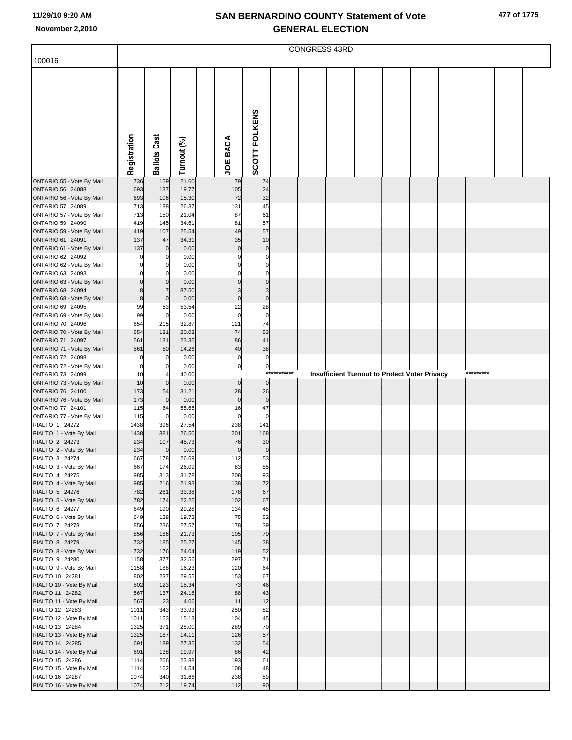|                                               | CONGRESS 43RD    |                     |                |  |                          |                          |          |  |  |  |  |                                               |           |  |
|-----------------------------------------------|------------------|---------------------|----------------|--|--------------------------|--------------------------|----------|--|--|--|--|-----------------------------------------------|-----------|--|
| 100016                                        |                  |                     |                |  |                          |                          |          |  |  |  |  |                                               |           |  |
|                                               | Registration     | <b>Ballots Cast</b> | Turnout (%)    |  | <b>JOE BACA</b>          | SCOTT FOLKENS            |          |  |  |  |  |                                               |           |  |
| ONTARIO 55 - Vote By Mail                     | 736              | 159                 | 21.60          |  | 79                       | 74                       |          |  |  |  |  |                                               |           |  |
| ONTARIO 56 24088                              | 693              | 137                 | 19.77          |  | 105                      | 24                       |          |  |  |  |  |                                               |           |  |
| ONTARIO 56 - Vote By Mail<br>ONTARIO 57 24089 | 693<br>713       | 106<br>188          | 15.30<br>26.37 |  | 72<br>131                | 32<br>45                 |          |  |  |  |  |                                               |           |  |
| ONTARIO 57 - Vote By Mail                     | 713              | 150                 | 21.04          |  | 87                       | 61                       |          |  |  |  |  |                                               |           |  |
| ONTARIO 59 24090                              | 419              | 145                 | 34.61          |  | 81                       | 57                       |          |  |  |  |  |                                               |           |  |
| ONTARIO 59 - Vote By Mail                     | 419              | 107                 | 25.54          |  | 49                       | 57                       |          |  |  |  |  |                                               |           |  |
| ONTARIO 61 24091                              | 137              | 47                  | 34.31          |  | 35                       | 10                       |          |  |  |  |  |                                               |           |  |
| ONTARIO 61 - Vote By Mail<br>ONTARIO 62 24092 | 137<br>$\pmb{0}$ | $\mathbf 0$<br>0    | 0.00<br>0.00   |  | $\mathbf{0}$<br>$\Omega$ | $\pmb{0}$<br>$\mathbf 0$ |          |  |  |  |  |                                               |           |  |
| ONTARIO 62 - Vote By Mail                     | $\mathbf 0$      | 0                   | 0.00           |  |                          | $\Omega$                 |          |  |  |  |  |                                               |           |  |
| ONTARIO 63 24093                              | $\mathbf 0$      | 0                   | 0.00           |  |                          | $\Omega$                 |          |  |  |  |  |                                               |           |  |
| ONTARIO 63 - Vote By Mail                     | $\mathbf 0$      | $\mathbf 0$         | 0.00           |  |                          | $\Omega$                 |          |  |  |  |  |                                               |           |  |
| ONTARIO 68 24094                              | 8                | $\overline{7}$      | 87.50          |  | 3                        | 3                        |          |  |  |  |  |                                               |           |  |
| ONTARIO 68 - Vote By Mail<br>ONTARIO 69 24095 | $\bf{8}$<br>99   | $\mathbf 0$<br>53   | 0.00<br>53.54  |  | $\mathbf 0$<br>22        | $\mathbf 0$<br>28        |          |  |  |  |  |                                               |           |  |
| ONTARIO 69 - Vote By Mail                     | 99               | $\mathbf 0$         | 0.00           |  | $\mathbf 0$              | $\overline{0}$           |          |  |  |  |  |                                               |           |  |
| ONTARIO 70 24096                              | 654              | 215                 | 32.87          |  | 121                      | 74                       |          |  |  |  |  |                                               |           |  |
| ONTARIO 70 - Vote By Mail                     | 654              | 131                 | 20.03          |  | 74                       | 53                       |          |  |  |  |  |                                               |           |  |
| ONTARIO 71 24097                              | 561              | 131                 | 23.35          |  | 86                       | 41                       |          |  |  |  |  |                                               |           |  |
| ONTARIO 71 - Vote By Mail<br>ONTARIO 72 24098 | 561<br>0         | 80<br>0             | 14.26<br>0.00  |  | 40<br>$\pmb{0}$          | 38<br>$\pmb{0}$          |          |  |  |  |  |                                               |           |  |
| ONTARIO 72 - Vote By Mail                     | $\mathbf 0$      | 0                   | 0.00           |  | $\overline{0}$           | $\overline{0}$           |          |  |  |  |  |                                               |           |  |
| ONTARIO 73 24099                              | 10               |                     | 40.00          |  |                          | $***$                    | ******** |  |  |  |  | Insufficient Turnout to Protect Voter Privacy | ********* |  |
| ONTARIO 73 - Vote By Mail                     | 10               | $\mathbf 0$         | 0.00           |  | $\overline{0}$           | $\overline{0}$           |          |  |  |  |  |                                               |           |  |
| ONTARIO 76 24100<br>ONTARIO 76 - Vote By Mail | 173<br>173       | 54<br>$\mathbf 0$   | 31.21<br>0.00  |  | 28<br>$\pmb{0}$          | 26<br>$\mathbf 0$        |          |  |  |  |  |                                               |           |  |
| ONTARIO 77 24101                              | 115              | 64                  | 55.65          |  | 16                       | 47                       |          |  |  |  |  |                                               |           |  |
| ONTARIO 77 - Vote By Mail                     | 115              | 0                   | 0.00           |  | $\mathbf 0$              | $\mathbf 0$              |          |  |  |  |  |                                               |           |  |
| RIALTO 1 24272                                | 1438             | 396                 | 27.54          |  | 238                      | 141                      |          |  |  |  |  |                                               |           |  |
| RIALTO 1 - Vote By Mail<br>RIALTO 2 24273     | 1438<br>234      | 381<br>107          | 26.50<br>45.73 |  | 201<br>76                | 168<br>30                |          |  |  |  |  |                                               |           |  |
| RIALTO 2 - Vote By Mail                       | 234              | $\mathbf 0$         | 0.00           |  | $\pmb{0}$                | $\pmb{0}$                |          |  |  |  |  |                                               |           |  |
| RIALTO 3 24274                                | 667              | 178                 | 26.69          |  | 112                      | 53                       |          |  |  |  |  |                                               |           |  |
| RIALTO 3 - Vote By Mail                       | 667              | 174                 | 26.09          |  | 83                       | 85                       |          |  |  |  |  |                                               |           |  |
| RIALTO 4 24275                                | 985              | 313                 | 31.78          |  | 208                      | 93                       |          |  |  |  |  |                                               |           |  |
| RIALTO 4 - Vote By Mail<br>RIALTO 5 24276     | 985<br>782       | 216<br>261          | 21.93<br>33.38 |  | 138<br>178               | 72<br>67                 |          |  |  |  |  |                                               |           |  |
| RIALTO 5 - Vote By Mail                       | 782              | 174                 | 22.25          |  | 102                      | 67                       |          |  |  |  |  |                                               |           |  |
| RIALTO 6 24277                                | 649              | 190                 | 29.28          |  | 134                      | 45                       |          |  |  |  |  |                                               |           |  |
| RIALTO 6 - Vote By Mail                       | 649              | 128                 | 19.72          |  | 75                       | 52                       |          |  |  |  |  |                                               |           |  |
| RIALTO 7 24278<br>RIALTO 7 - Vote By Mail     | 856<br>856       | 236<br>186          | 27.57<br>21.73 |  | 178<br>105               | 39<br>70                 |          |  |  |  |  |                                               |           |  |
| RIALTO 8 24279                                | 732              | 185                 | 25.27          |  | 145                      | 38                       |          |  |  |  |  |                                               |           |  |
| RIALTO 8 - Vote By Mail                       | 732              | 176                 | 24.04          |  | 119                      | 52                       |          |  |  |  |  |                                               |           |  |
| RIALTO 9 24280                                | 1158             | 377                 | 32.56          |  | 297                      | 71                       |          |  |  |  |  |                                               |           |  |
| RIALTO 9 - Vote By Mail                       | 1158             | 188                 | 16.23          |  | 120                      | 64                       |          |  |  |  |  |                                               |           |  |
| RIALTO 10 24281<br>RIALTO 10 - Vote By Mail   | 802<br>802       | 237<br>123          | 29.55<br>15.34 |  | 153<br>73                | 67<br>46                 |          |  |  |  |  |                                               |           |  |
| RIALTO 11 24282                               | 567              | 137                 | 24.16          |  | 88                       | 43                       |          |  |  |  |  |                                               |           |  |
| RIALTO 11 - Vote By Mail                      | 567              | 23                  | 4.06           |  | 11                       | 12                       |          |  |  |  |  |                                               |           |  |
| RIALTO 12 24283                               | 1011             | 343                 | 33.93          |  | 250                      | 82                       |          |  |  |  |  |                                               |           |  |
| RIALTO 12 - Vote By Mail                      | 1011             | 153                 | 15.13          |  | 104                      | 45                       |          |  |  |  |  |                                               |           |  |
| RIALTO 13 24284<br>RIALTO 13 - Vote By Mail   | 1325<br>1325     | 371<br>187          | 28.00<br>14.11 |  | 289<br>126               | 70<br>57                 |          |  |  |  |  |                                               |           |  |
| RIALTO 14 24285                               | 691              | 189                 | 27.35          |  | 132                      | 54                       |          |  |  |  |  |                                               |           |  |
| RIALTO 14 - Vote By Mail                      | 691              | 138                 | 19.97          |  | 86                       | 42                       |          |  |  |  |  |                                               |           |  |
| RIALTO 15 24286                               | 1114             | 266                 | 23.88          |  | 193                      | 61                       |          |  |  |  |  |                                               |           |  |
| RIALTO 15 - Vote By Mail<br>RIALTO 16 24287   | 1114<br>1074     | 162<br>340          | 14.54<br>31.66 |  | 108<br>238               | 48<br>89                 |          |  |  |  |  |                                               |           |  |
| RIALTO 16 - Vote By Mail                      | 1074             | 212                 | 19.74          |  | 112                      | 90                       |          |  |  |  |  |                                               |           |  |
|                                               |                  |                     |                |  |                          |                          |          |  |  |  |  |                                               |           |  |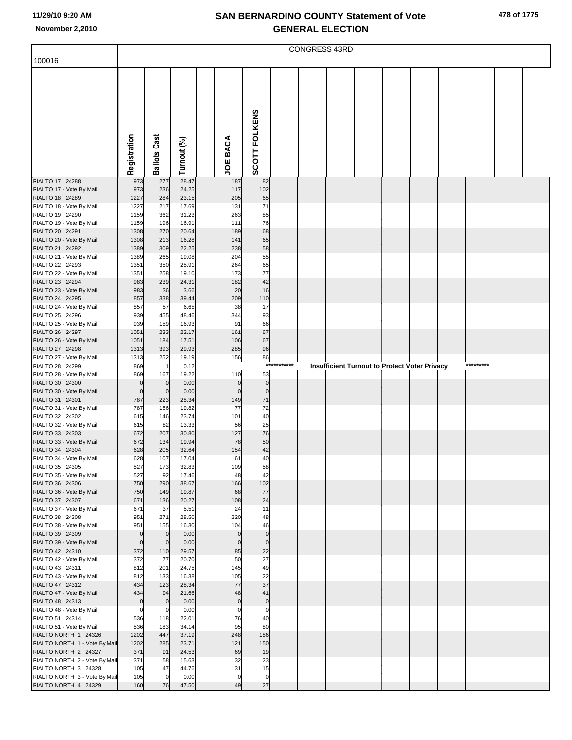|                                                       | <b>CONGRESS 43RD</b>         |                            |                |  |                            |                            |         |  |  |  |  |                                               |  |           |  |  |
|-------------------------------------------------------|------------------------------|----------------------------|----------------|--|----------------------------|----------------------------|---------|--|--|--|--|-----------------------------------------------|--|-----------|--|--|
| 100016                                                |                              |                            |                |  |                            |                            |         |  |  |  |  |                                               |  |           |  |  |
|                                                       |                              |                            |                |  |                            | SCOTT FOLKENS              |         |  |  |  |  |                                               |  |           |  |  |
|                                                       | Registration                 | <b>Ballots Cast</b>        | Turnout (%)    |  | <b>JOE BACA</b>            |                            |         |  |  |  |  |                                               |  |           |  |  |
| RIALTO 17 24288                                       | 973                          | 277                        | 28.47          |  | 187                        | 82                         |         |  |  |  |  |                                               |  |           |  |  |
| RIALTO 17 - Vote By Mail<br>RIALTO 18 24289           | 973<br>1227                  | 236<br>284                 | 24.25<br>23.15 |  | 117<br>205                 | 102<br>65                  |         |  |  |  |  |                                               |  |           |  |  |
| RIALTO 18 - Vote By Mail                              | 1227                         | 217                        | 17.69          |  | 131                        | 71                         |         |  |  |  |  |                                               |  |           |  |  |
| RIALTO 19 24290                                       | 1159                         | 362                        | 31.23          |  | 263                        | 85                         |         |  |  |  |  |                                               |  |           |  |  |
| RIALTO 19 - Vote By Mail                              | 1159                         | 196                        | 16.91          |  | 111                        | 76                         |         |  |  |  |  |                                               |  |           |  |  |
| RIALTO 20 24291                                       | 1308<br>1308                 | 270<br>213                 | 20.64<br>16.28 |  | 189<br>141                 | 68<br>65                   |         |  |  |  |  |                                               |  |           |  |  |
| RIALTO 20 - Vote By Mail<br>RIALTO 21 24292           | 1389                         | 309                        | 22.25          |  | 238                        | 58                         |         |  |  |  |  |                                               |  |           |  |  |
| RIALTO 21 - Vote By Mail                              | 1389                         | 265                        | 19.08          |  | 204                        | 55                         |         |  |  |  |  |                                               |  |           |  |  |
| RIALTO 22 24293                                       | 1351                         | 350                        | 25.91          |  | 264                        | 65                         |         |  |  |  |  |                                               |  |           |  |  |
| RIALTO 22 - Vote By Mail                              | 1351                         | 258                        | 19.10          |  | 173                        | 77                         |         |  |  |  |  |                                               |  |           |  |  |
| RIALTO 23 24294<br>RIALTO 23 - Vote By Mail           | 983<br>983                   | 239<br>36                  | 24.31<br>3.66  |  | 182<br>20                  | 42<br>16                   |         |  |  |  |  |                                               |  |           |  |  |
| RIALTO 24 24295                                       | 857                          | 338                        | 39.44          |  | 209                        | 110                        |         |  |  |  |  |                                               |  |           |  |  |
| RIALTO 24 - Vote By Mail                              | 857                          | 57                         | 6.65           |  | 38                         | 17                         |         |  |  |  |  |                                               |  |           |  |  |
| RIALTO 25 24296                                       | 939                          | 455                        | 48.46          |  | 344                        | 93                         |         |  |  |  |  |                                               |  |           |  |  |
| RIALTO 25 - Vote By Mail                              | 939                          | 159                        | 16.93          |  | 91                         | 66                         |         |  |  |  |  |                                               |  |           |  |  |
| RIALTO 26 24297<br>RIALTO 26 - Vote By Mail           | 1051<br>1051                 | 233<br>184                 | 22.17<br>17.51 |  | 161<br>106                 | 67<br>67                   |         |  |  |  |  |                                               |  |           |  |  |
| RIALTO 27 24298                                       | 1313                         | 393                        | 29.93          |  | 285                        | 96                         |         |  |  |  |  |                                               |  |           |  |  |
| RIALTO 27 - Vote By Mail                              | 1313                         | 252                        | 19.19          |  | 156                        | 86                         |         |  |  |  |  |                                               |  |           |  |  |
| RIALTO 28 24299                                       | 869                          | $\overline{1}$             | 0.12           |  |                            | $***$                      | ******* |  |  |  |  | Insufficient Turnout to Protect Voter Privacy |  | ********* |  |  |
| RIALTO 28 - Vote By Mail                              | 869                          | 167                        | 19.22          |  | 110                        | 53                         |         |  |  |  |  |                                               |  |           |  |  |
| RIALTO 30 24300<br>RIALTO 30 - Vote By Mail           | $\mathbf{0}$<br>$\mathbf{0}$ | $\mathbf 0$<br>$\mathbf 0$ | 0.00<br>0.00   |  | $\mathbf 0$<br>$\mathbf 0$ | $\mathbf 0$<br>$\mathbf 0$ |         |  |  |  |  |                                               |  |           |  |  |
| RIALTO 31 24301                                       | 787                          | 223                        | 28.34          |  | 149                        | $71$                       |         |  |  |  |  |                                               |  |           |  |  |
| RIALTO 31 - Vote By Mail                              | 787                          | 156                        | 19.82          |  | 77                         | 72                         |         |  |  |  |  |                                               |  |           |  |  |
| RIALTO 32 24302                                       | 615                          | 146                        | 23.74          |  | 101                        | 40                         |         |  |  |  |  |                                               |  |           |  |  |
| RIALTO 32 - Vote By Mail<br>RIALTO 33 24303           | 615<br>672                   | 82<br>207                  | 13.33<br>30.80 |  | 56<br>127                  | 25<br>76                   |         |  |  |  |  |                                               |  |           |  |  |
| RIALTO 33 - Vote By Mail                              | 672                          | 134                        | 19.94          |  | 78                         | 50                         |         |  |  |  |  |                                               |  |           |  |  |
| RIALTO 34 24304                                       | 628                          | 205                        | 32.64          |  | 154                        | 42                         |         |  |  |  |  |                                               |  |           |  |  |
| RIALTO 34 - Vote By Mail                              | 628                          | 107                        | 17.04          |  | 61                         | 40                         |         |  |  |  |  |                                               |  |           |  |  |
| RIALTO 35 24305                                       | 527                          | 173                        | 32.83          |  | 109                        | 58                         |         |  |  |  |  |                                               |  |           |  |  |
| RIALTO 35 - Vote By Mail<br>RIALTO 36 24306           | 527<br>750                   | 92<br>290                  | 17.46<br>38.67 |  | 48<br>166                  | 42<br>102                  |         |  |  |  |  |                                               |  |           |  |  |
| RIALTO 36 - Vote By Mail                              | 750                          | 149                        | 19.87          |  | 68                         | 77                         |         |  |  |  |  |                                               |  |           |  |  |
| RIALTO 37 24307                                       | 671                          | 136                        | 20.27          |  | 108                        | 24                         |         |  |  |  |  |                                               |  |           |  |  |
| RIALTO 37 - Vote By Mail<br>RIALTO 38 24308           | 671<br>951                   | 37<br>271                  | 5.51           |  | 24<br>220                  | 11<br>48                   |         |  |  |  |  |                                               |  |           |  |  |
| RIALTO 38 - Vote By Mail                              | 951                          | 155                        | 28.50<br>16.30 |  | 104                        | 46                         |         |  |  |  |  |                                               |  |           |  |  |
| RIALTO 39 24309                                       | $\mathbf 0$                  | $\mathbf 0$                | 0.00           |  | $\mathbf 0$                | $\pmb{0}$                  |         |  |  |  |  |                                               |  |           |  |  |
| RIALTO 39 - Vote By Mail                              | $\mathbf 0$                  | $\overline{0}$             | 0.00           |  | $\mathbf 0$                | $\mathbf 0$                |         |  |  |  |  |                                               |  |           |  |  |
| RIALTO 42 24310                                       | 372                          | 110                        | 29.57          |  | 85                         | 22                         |         |  |  |  |  |                                               |  |           |  |  |
| RIALTO 42 - Vote By Mail<br>RIALTO 43 24311           | 372<br>812                   | 77<br>201                  | 20.70<br>24.75 |  | 50<br>145                  | 27<br>49                   |         |  |  |  |  |                                               |  |           |  |  |
| RIALTO 43 - Vote By Mail                              | 812                          | 133                        | 16.38          |  | 105                        | 22                         |         |  |  |  |  |                                               |  |           |  |  |
| RIALTO 47 24312                                       | 434                          | 123                        | 28.34          |  | 77                         | 37                         |         |  |  |  |  |                                               |  |           |  |  |
| RIALTO 47 - Vote By Mail                              | 434                          | 94                         | 21.66          |  | 48                         | 41                         |         |  |  |  |  |                                               |  |           |  |  |
| RIALTO 48 24313                                       | $\mathbf 0$                  | $\mathbf 0$<br>$\mathbf 0$ | 0.00           |  | $\pmb{0}$<br>$\mathbf 0$   | $\pmb{0}$                  |         |  |  |  |  |                                               |  |           |  |  |
| RIALTO 48 - Vote By Mail<br>RIALTO 51 24314           | $\mathbf 0$<br>536           | 118                        | 0.00<br>22.01  |  | 76                         | 0<br>40                    |         |  |  |  |  |                                               |  |           |  |  |
| RIALTO 51 - Vote By Mail                              | 536                          | 183                        | 34.14          |  | 95                         | 80                         |         |  |  |  |  |                                               |  |           |  |  |
| RIALTO NORTH 1 24326                                  | 1202                         | 447                        | 37.19          |  | 248                        | 186                        |         |  |  |  |  |                                               |  |           |  |  |
| RIALTO NORTH 1 - Vote By Mail                         | 1202                         | 285                        | 23.71          |  | 121                        | 150                        |         |  |  |  |  |                                               |  |           |  |  |
| RIALTO NORTH 2 24327<br>RIALTO NORTH 2 - Vote By Mail | 371<br>371                   | 91<br>58                   | 24.53<br>15.63 |  | 69<br>32                   | 19<br>23                   |         |  |  |  |  |                                               |  |           |  |  |
| RIALTO NORTH 3 24328                                  | 105                          | 47                         | 44.76          |  | 31                         | 15                         |         |  |  |  |  |                                               |  |           |  |  |
| RIALTO NORTH 3 - Vote By Mail                         | 105                          | $\mathbf 0$                | 0.00           |  | $\mathbf 0$                | $\mathbf 0$                |         |  |  |  |  |                                               |  |           |  |  |
| RIALTO NORTH 4 24329                                  | 160                          | 76                         | 47.50          |  | 49                         | 27                         |         |  |  |  |  |                                               |  |           |  |  |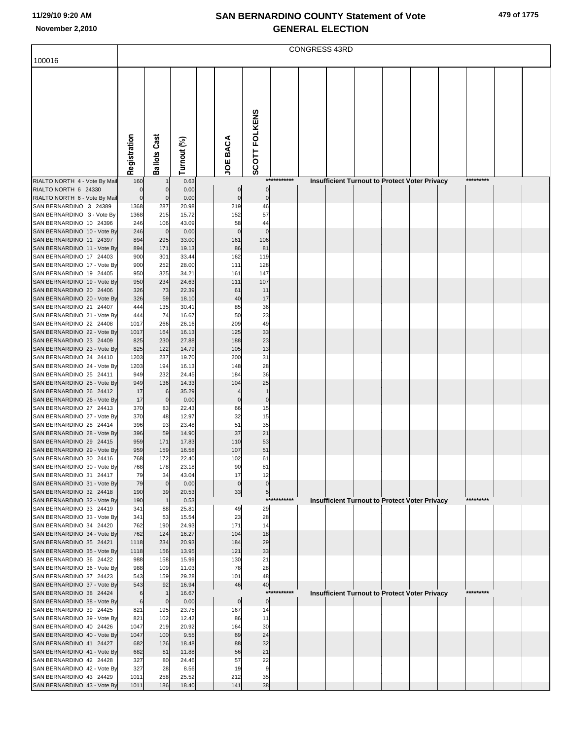| 479 of 1775 |  |
|-------------|--|
|-------------|--|

|                                                        | <b>CONGRESS 43RD</b> |                     |                |  |             |                   |             |  |  |  |  |                                                      |  |           |  |  |
|--------------------------------------------------------|----------------------|---------------------|----------------|--|-------------|-------------------|-------------|--|--|--|--|------------------------------------------------------|--|-----------|--|--|
| 100016                                                 |                      |                     |                |  |             |                   |             |  |  |  |  |                                                      |  |           |  |  |
|                                                        |                      |                     |                |  |             |                   |             |  |  |  |  |                                                      |  |           |  |  |
|                                                        |                      |                     |                |  |             |                   |             |  |  |  |  |                                                      |  |           |  |  |
|                                                        |                      |                     |                |  |             |                   |             |  |  |  |  |                                                      |  |           |  |  |
|                                                        |                      |                     |                |  |             |                   |             |  |  |  |  |                                                      |  |           |  |  |
|                                                        |                      |                     |                |  |             |                   |             |  |  |  |  |                                                      |  |           |  |  |
|                                                        |                      |                     |                |  |             |                   |             |  |  |  |  |                                                      |  |           |  |  |
|                                                        |                      |                     |                |  |             |                   |             |  |  |  |  |                                                      |  |           |  |  |
|                                                        |                      |                     |                |  |             |                   |             |  |  |  |  |                                                      |  |           |  |  |
|                                                        | Registration         | <b>Ballots Cast</b> | Turnout (%)    |  | JOE BACA    | SCOTT FOLKENS     |             |  |  |  |  |                                                      |  |           |  |  |
|                                                        |                      |                     |                |  |             |                   |             |  |  |  |  |                                                      |  |           |  |  |
| RIALTO NORTH 4 - Vote By Mail<br>RIALTO NORTH 6 24330  | 160<br>0             | $\mathbf 0$         | 0.63<br>0.00   |  | 0           | 0                 | *********** |  |  |  |  | <b>Insufficient Turnout to Protect Voter Privacy</b> |  | ********* |  |  |
| RIALTO NORTH 6 - Vote By Mail                          | $\overline{0}$       | $\mathbf 0$         | 0.00           |  | 0           | 0                 |             |  |  |  |  |                                                      |  |           |  |  |
| SAN BERNARDINO 3 24389                                 | 1368                 | 287                 | 20.98          |  | 219         | 46                |             |  |  |  |  |                                                      |  |           |  |  |
| SAN BERNARDINO 3 - Vote By<br>SAN BERNARDINO 10 24396  | 1368                 | 215<br>106          | 15.72<br>43.09 |  | 152<br>58   | 57<br>44          |             |  |  |  |  |                                                      |  |           |  |  |
| SAN BERNARDINO 10 - Vote By                            | 246<br>246           | $\mathbf 0$         | 0.00           |  | $\mathbf 0$ | $\mathbf 0$       |             |  |  |  |  |                                                      |  |           |  |  |
| SAN BERNARDINO 11 24397                                | 894                  | 295                 | 33.00          |  | 161         | 106               |             |  |  |  |  |                                                      |  |           |  |  |
| SAN BERNARDINO 11 - Vote By                            | 894                  | 171                 | 19.13          |  | 86          | 81                |             |  |  |  |  |                                                      |  |           |  |  |
| SAN BERNARDINO 17 24403<br>SAN BERNARDINO 17 - Vote By | 900<br>900           | 301<br>252          | 33.44<br>28.00 |  | 162<br>111  | 119<br>128        |             |  |  |  |  |                                                      |  |           |  |  |
| SAN BERNARDINO 19 24405                                | 950                  | 325                 | 34.21          |  | 161         | 147               |             |  |  |  |  |                                                      |  |           |  |  |
| SAN BERNARDINO 19 - Vote By                            | 950                  | 234                 | 24.63          |  | 111         | 107               |             |  |  |  |  |                                                      |  |           |  |  |
| SAN BERNARDINO 20 24406<br>SAN BERNARDINO 20 - Vote By | 326<br>326           | 73<br>59            | 22.39<br>18.10 |  | 61<br>40    | 11<br>17          |             |  |  |  |  |                                                      |  |           |  |  |
| SAN BERNARDINO 21 24407                                | 444                  | 135                 | 30.41          |  | 85          | 36                |             |  |  |  |  |                                                      |  |           |  |  |
| SAN BERNARDINO 21 - Vote By                            | 444                  | 74                  | 16.67          |  | 50          | 23                |             |  |  |  |  |                                                      |  |           |  |  |
| SAN BERNARDINO 22 24408<br>SAN BERNARDINO 22 - Vote By | 1017<br>1017         | 266<br>164          | 26.16<br>16.13 |  | 209<br>125  | 49<br>33          |             |  |  |  |  |                                                      |  |           |  |  |
| SAN BERNARDINO 23 24409                                | 825                  | 230                 | 27.88          |  | 188         | 23                |             |  |  |  |  |                                                      |  |           |  |  |
| SAN BERNARDINO 23 - Vote By                            | 825                  | 122                 | 14.79          |  | 105         | 13                |             |  |  |  |  |                                                      |  |           |  |  |
| SAN BERNARDINO 24 24410                                | 1203                 | 237                 | 19.70          |  | 200         | 31                |             |  |  |  |  |                                                      |  |           |  |  |
| SAN BERNARDINO 24 - Vote By<br>SAN BERNARDINO 25 24411 | 1203<br>949          | 194<br>232          | 16.13<br>24.45 |  | 148<br>184  | 28<br>36          |             |  |  |  |  |                                                      |  |           |  |  |
| SAN BERNARDINO 25 - Vote By                            | 949                  | 136                 | 14.33          |  | 104         | 25                |             |  |  |  |  |                                                      |  |           |  |  |
| SAN BERNARDINO 26 24412                                | 17                   | 6                   | 35.29          |  |             | 1                 |             |  |  |  |  |                                                      |  |           |  |  |
| SAN BERNARDINO 26 - Vote By<br>SAN BERNARDINO 27 24413 | 17<br>370            | $\mathbf 0$<br>83   | 0.00<br>22.43  |  | 0<br>66     | $\mathbf 0$<br>15 |             |  |  |  |  |                                                      |  |           |  |  |
| SAN BERNARDINO 27 - Vote By                            | 370                  | 48                  | 12.97          |  | 32          | 15                |             |  |  |  |  |                                                      |  |           |  |  |
| SAN BERNARDINO 28 24414                                | 396                  | 93                  | 23.48          |  | 51          | 35                |             |  |  |  |  |                                                      |  |           |  |  |
| SAN BERNARDINO 28 - Vote By<br>SAN BERNARDINO 29 24415 | 396<br>959           | 59<br>171           | 14.90<br>17.83 |  | 37<br>110   | 21<br>53          |             |  |  |  |  |                                                      |  |           |  |  |
| SAN BERNARDINO 29 - Vote By                            | 959                  | 159                 | 16.58          |  | 107         | 51                |             |  |  |  |  |                                                      |  |           |  |  |
| SAN BERNARDINO 30 24416                                | 768                  | 172                 | 22.40          |  | 102         | 61                |             |  |  |  |  |                                                      |  |           |  |  |
| SAN BERNARDINO 30 - Vote By<br>SAN BERNARDINO 31 24417 | 768<br>79            | 178<br>34           | 23.18<br>43.04 |  | 90<br>17    | 81<br>12          |             |  |  |  |  |                                                      |  |           |  |  |
| SAN BERNARDINO 31 - Vote By                            | 79                   | $\mathbf 0$         | 0.00           |  | $\mathbf 0$ | 0                 |             |  |  |  |  |                                                      |  |           |  |  |
| SAN BERNARDINO 32 24418                                | 190                  | 39                  | 20.53          |  | 33          | 5                 |             |  |  |  |  |                                                      |  |           |  |  |
| SAN BERNARDINO 32 - Vote By<br>SAN BERNARDINO 33 24419 | 190<br>341           | $\mathbf{1}$<br>88  | 0.53<br>25.81  |  | 49          | 29                | *********** |  |  |  |  | <b>Insufficient Turnout to Protect Voter Privacy</b> |  | ********* |  |  |
| SAN BERNARDINO 33 - Vote By                            | 341                  | 53                  | 15.54          |  | 23          | 28                |             |  |  |  |  |                                                      |  |           |  |  |
| SAN BERNARDINO 34 24420                                | 762                  | 190                 | 24.93          |  | 171         | 14                |             |  |  |  |  |                                                      |  |           |  |  |
| SAN BERNARDINO 34 - Vote By<br>SAN BERNARDINO 35 24421 | 762<br>1118          | 124<br>234          | 16.27<br>20.93 |  | 104<br>184  | 18<br>29          |             |  |  |  |  |                                                      |  |           |  |  |
| SAN BERNARDINO 35 - Vote By                            | 1118                 | 156                 | 13.95          |  | 121         | 33                |             |  |  |  |  |                                                      |  |           |  |  |
| SAN BERNARDINO 36 24422                                | 988                  | 158                 | 15.99          |  | 130         | 21                |             |  |  |  |  |                                                      |  |           |  |  |
| SAN BERNARDINO 36 - Vote By<br>SAN BERNARDINO 37 24423 | 988<br>543           | 109<br>159          | 11.03<br>29.28 |  | 78<br>101   | 28<br>48          |             |  |  |  |  |                                                      |  |           |  |  |
| SAN BERNARDINO 37 - Vote By                            | 543                  | 92                  | 16.94          |  | 46          | 40                |             |  |  |  |  |                                                      |  |           |  |  |
| SAN BERNARDINO 38 24424                                | 6                    | $\mathbf{1}$        | 16.67          |  |             | ****              | *******     |  |  |  |  | Insufficient Turnout to Protect Voter Privacy        |  | ********* |  |  |
| SAN BERNARDINO 38 - Vote By                            | 6                    | $\mathbf 0$         | 0.00           |  | 0           | 0                 |             |  |  |  |  |                                                      |  |           |  |  |
| SAN BERNARDINO 39 24425<br>SAN BERNARDINO 39 - Vote By | 821<br>821           | 195<br>102          | 23.75<br>12.42 |  | 167<br>86   | 14<br>11          |             |  |  |  |  |                                                      |  |           |  |  |
| SAN BERNARDINO 40 24426                                | 1047                 | 219                 | 20.92          |  | 164         | 30                |             |  |  |  |  |                                                      |  |           |  |  |
| SAN BERNARDINO 40 - Vote By                            | 1047                 | 100                 | 9.55           |  | 69          | 24                |             |  |  |  |  |                                                      |  |           |  |  |
| SAN BERNARDINO 41 24427<br>SAN BERNARDINO 41 - Vote By | 682<br>682           | 126<br>81           | 18.48<br>11.88 |  | 88<br>56    | 32<br>21          |             |  |  |  |  |                                                      |  |           |  |  |
| SAN BERNARDINO 42 24428                                | 327                  | 80                  | 24.46          |  | 57          | 22                |             |  |  |  |  |                                                      |  |           |  |  |
| SAN BERNARDINO 42 - Vote By                            | 327                  | 28                  | 8.56           |  | 19          | 9                 |             |  |  |  |  |                                                      |  |           |  |  |
| SAN BERNARDINO 43 24429<br>SAN BERNARDINO 43 - Vote By | 1011<br>1011         | 258<br>186          | 25.52<br>18.40 |  | 212<br>141  | 35<br>38          |             |  |  |  |  |                                                      |  |           |  |  |
|                                                        |                      |                     |                |  |             |                   |             |  |  |  |  |                                                      |  |           |  |  |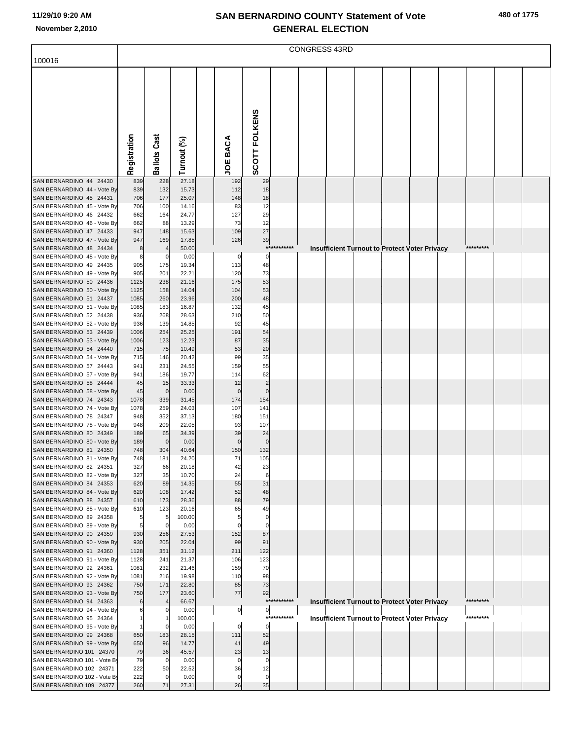|  | 480 of 1775 |
|--|-------------|
|  |             |

|                                                          | <b>CONGRESS 43RD</b> |                      |                |  |                 |                      |             |  |  |  |  |                                                      |  |           |  |  |
|----------------------------------------------------------|----------------------|----------------------|----------------|--|-----------------|----------------------|-------------|--|--|--|--|------------------------------------------------------|--|-----------|--|--|
| 100016                                                   |                      |                      |                |  |                 |                      |             |  |  |  |  |                                                      |  |           |  |  |
|                                                          |                      |                      |                |  |                 |                      |             |  |  |  |  |                                                      |  |           |  |  |
|                                                          |                      |                      |                |  |                 |                      |             |  |  |  |  |                                                      |  |           |  |  |
|                                                          |                      |                      |                |  |                 |                      |             |  |  |  |  |                                                      |  |           |  |  |
|                                                          |                      |                      |                |  |                 |                      |             |  |  |  |  |                                                      |  |           |  |  |
|                                                          |                      |                      |                |  |                 |                      |             |  |  |  |  |                                                      |  |           |  |  |
|                                                          |                      |                      |                |  |                 |                      |             |  |  |  |  |                                                      |  |           |  |  |
|                                                          |                      |                      |                |  |                 |                      |             |  |  |  |  |                                                      |  |           |  |  |
|                                                          | Registration         | <b>Ballots Cast</b>  | Turnout (%)    |  | <b>JOE BACA</b> | SCOTT FOLKENS        |             |  |  |  |  |                                                      |  |           |  |  |
|                                                          |                      |                      |                |  |                 |                      |             |  |  |  |  |                                                      |  |           |  |  |
| SAN BERNARDINO 44 24430                                  | 839                  | 228                  | 27.18          |  | 192             | 29                   |             |  |  |  |  |                                                      |  |           |  |  |
| SAN BERNARDINO 44 - Vote By<br>SAN BERNARDINO 45 24431   | 839<br>706           | 132<br>177           | 15.73<br>25.07 |  | 112<br>148      | 18<br>18             |             |  |  |  |  |                                                      |  |           |  |  |
| SAN BERNARDINO 45 - Vote By                              | 706                  | 100                  | 14.16          |  | 83              | 12                   |             |  |  |  |  |                                                      |  |           |  |  |
| SAN BERNARDINO 46 24432<br>SAN BERNARDINO 46 - Vote By   | 662<br>662           | 164<br>88            | 24.77<br>13.29 |  | 127<br>73       | 29<br>12             |             |  |  |  |  |                                                      |  |           |  |  |
| SAN BERNARDINO 47 24433                                  | 947                  | 148                  | 15.63          |  | 109             | 27                   |             |  |  |  |  |                                                      |  |           |  |  |
| SAN BERNARDINO 47 - Vote By                              | 947                  | 169                  | 17.85          |  | 126             | 39                   |             |  |  |  |  |                                                      |  |           |  |  |
| SAN BERNARDINO 48 24434<br>SAN BERNARDINO 48 - Vote By   | 8<br>8               | C.                   | 50.00<br>0.00  |  | 0               | 0                    | *********** |  |  |  |  | <b>Insufficient Turnout to Protect Voter Privacy</b> |  | ********* |  |  |
| SAN BERNARDINO 49 24435                                  | 905                  | 175                  | 19.34          |  | 113             | 48                   |             |  |  |  |  |                                                      |  |           |  |  |
| SAN BERNARDINO 49 - Vote By                              | 905                  | 201                  | 22.21          |  | 120             | 73                   |             |  |  |  |  |                                                      |  |           |  |  |
| SAN BERNARDINO 50 24436<br>SAN BERNARDINO 50 - Vote By   | 1125<br>1125         | 238<br>158           | 21.16<br>14.04 |  | 175<br>104      | 53<br>53             |             |  |  |  |  |                                                      |  |           |  |  |
| SAN BERNARDINO 51 24437                                  | 1085                 | 260                  | 23.96          |  | 200             | 48                   |             |  |  |  |  |                                                      |  |           |  |  |
| SAN BERNARDINO 51 - Vote By<br>SAN BERNARDINO 52 24438   | 1085                 | 183                  | 16.87          |  | 132             | 45                   |             |  |  |  |  |                                                      |  |           |  |  |
| SAN BERNARDINO 52 - Vote By                              | 936<br>936           | 268<br>139           | 28.63<br>14.85 |  | 210<br>92       | 50<br>45             |             |  |  |  |  |                                                      |  |           |  |  |
| SAN BERNARDINO 53 24439                                  | 1006                 | 254                  | 25.25          |  | 191             | 54                   |             |  |  |  |  |                                                      |  |           |  |  |
| SAN BERNARDINO 53 - Vote By<br>SAN BERNARDINO 54 24440   | 1006<br>715          | 123<br>75            | 12.23<br>10.49 |  | 87<br>53        | 35<br>20             |             |  |  |  |  |                                                      |  |           |  |  |
| SAN BERNARDINO 54 - Vote By                              | 715                  | 146                  | 20.42          |  | 99              | 35                   |             |  |  |  |  |                                                      |  |           |  |  |
| SAN BERNARDINO 57 24443                                  | 941                  | 231                  | 24.55          |  | 159             | 55                   |             |  |  |  |  |                                                      |  |           |  |  |
| SAN BERNARDINO 57 - Vote By<br>SAN BERNARDINO 58 24444   | 941<br>45            | 186<br>15            | 19.77<br>33.33 |  | 114<br>12       | 62<br>$\overline{2}$ |             |  |  |  |  |                                                      |  |           |  |  |
| SAN BERNARDINO 58 - Vote By                              | 45                   | $\mathbf 0$          | 0.00           |  | $\Omega$        | $\Omega$             |             |  |  |  |  |                                                      |  |           |  |  |
| SAN BERNARDINO 74 24343                                  | 1078                 | 339                  | 31.45          |  | 174             | 154                  |             |  |  |  |  |                                                      |  |           |  |  |
| SAN BERNARDINO 74 - Vote By<br>SAN BERNARDINO 78 24347   | 1078<br>948          | 259<br>352           | 24.03<br>37.13 |  | 107<br>180      | 141<br>151           |             |  |  |  |  |                                                      |  |           |  |  |
| SAN BERNARDINO 78 - Vote By                              | 948                  | 209                  | 22.05          |  | 93              | 107                  |             |  |  |  |  |                                                      |  |           |  |  |
| SAN BERNARDINO 80 24349<br>SAN BERNARDINO 80 - Vote By   | 189<br>189           | 65<br>$\overline{0}$ | 34.39<br>0.00  |  | 39<br>$\Omega$  | 24<br>$\Omega$       |             |  |  |  |  |                                                      |  |           |  |  |
| SAN BERNARDINO 81 24350                                  | 748                  | 304                  | 40.64          |  | 150             | 132                  |             |  |  |  |  |                                                      |  |           |  |  |
| SAN BERNARDINO 81 - Vote By                              | 748                  | 181                  | 24.20          |  | 71              | 105                  |             |  |  |  |  |                                                      |  |           |  |  |
| SAN BERNARDINO 82 24351<br>SAN BERNARDINO 82 - Vote By   | 327<br>327           | 66<br>35             | 20.18<br>10.70 |  | 42<br>24        | 23<br>6              |             |  |  |  |  |                                                      |  |           |  |  |
| SAN BERNARDINO 84 24353                                  | 620                  | 89                   | 14.35          |  | 55              | 31                   |             |  |  |  |  |                                                      |  |           |  |  |
| SAN BERNARDINO 84 - Vote By                              | 620                  | 108                  | 17.42          |  | 52              | 48                   |             |  |  |  |  |                                                      |  |           |  |  |
| SAN BERNARDINO 88 24357<br>SAN BERNARDINO 88 - Vote By   | 610<br>610           | 173<br>123           | 28.36<br>20.16 |  | 88<br>65        | 79<br>49             |             |  |  |  |  |                                                      |  |           |  |  |
| SAN BERNARDINO 89 24358                                  | 5                    | 5                    | 100.00         |  | 5               | 0                    |             |  |  |  |  |                                                      |  |           |  |  |
| SAN BERNARDINO 89 - Vote By<br>SAN BERNARDINO 90 24359   | 5<br>930             | $\mathbf 0$<br>256   | 0.00<br>27.53  |  | 0<br>152        | $\Omega$<br>87       |             |  |  |  |  |                                                      |  |           |  |  |
| SAN BERNARDINO 90 - Vote By                              | 930                  | 205                  | 22.04          |  | 99              | 91                   |             |  |  |  |  |                                                      |  |           |  |  |
| SAN BERNARDINO 91 24360                                  | 1128                 | 351                  | 31.12          |  | 211             | 122                  |             |  |  |  |  |                                                      |  |           |  |  |
| SAN BERNARDINO 91 - Vote By<br>SAN BERNARDINO 92 24361   | 1128<br>1081         | 241<br>232           | 21.37<br>21.46 |  | 106<br>159      | 123<br>70            |             |  |  |  |  |                                                      |  |           |  |  |
| SAN BERNARDINO 92 - Vote By                              | 1081                 | 216                  | 19.98          |  | 110             | 98                   |             |  |  |  |  |                                                      |  |           |  |  |
| SAN BERNARDINO 93 24362                                  | 750                  | 171                  | 22.80          |  | 85              | 73                   |             |  |  |  |  |                                                      |  |           |  |  |
| SAN BERNARDINO 93 - Vote By<br>SAN BERNARDINO 94 24363   | 750<br>6             | 177                  | 23.60<br>66.67 |  | 77              | 92                   | *********** |  |  |  |  | <b>Insufficient Turnout to Protect Voter Privacy</b> |  | ********* |  |  |
| SAN BERNARDINO 94 - Vote By                              |                      | C                    | 0.00           |  | $\overline{0}$  | $\overline{0}$       |             |  |  |  |  |                                                      |  |           |  |  |
| SAN BERNARDINO 95 24364<br>SAN BERNARDINO 95 - Vote By   |                      | 0                    | 100.00<br>0.00 |  | 0               | $\mathbf 0$          | *********** |  |  |  |  | <b>Insufficient Turnout to Protect Voter Privacy</b> |  | ********* |  |  |
| SAN BERNARDINO 99 24368                                  | 650                  | 183                  | 28.15          |  | 111             | 52                   |             |  |  |  |  |                                                      |  |           |  |  |
| SAN BERNARDINO 99 - Vote By                              | 650                  | 96                   | 14.77          |  | 41              | 49                   |             |  |  |  |  |                                                      |  |           |  |  |
| SAN BERNARDINO 101 24370<br>SAN BERNARDINO 101 - Vote By | 79<br>79             | 36<br>$\mathbf 0$    | 45.57<br>0.00  |  | 23<br>0         | 13<br>0              |             |  |  |  |  |                                                      |  |           |  |  |
| SAN BERNARDINO 102 24371                                 | 222                  | 50                   | 22.52          |  | 36              | 12                   |             |  |  |  |  |                                                      |  |           |  |  |
| SAN BERNARDINO 102 - Vote By<br>SAN BERNARDINO 109 24377 | 222<br>260           | 0<br>71              | 0.00<br>27.31  |  | 0<br>26         | 0<br>35              |             |  |  |  |  |                                                      |  |           |  |  |
|                                                          |                      |                      |                |  |                 |                      |             |  |  |  |  |                                                      |  |           |  |  |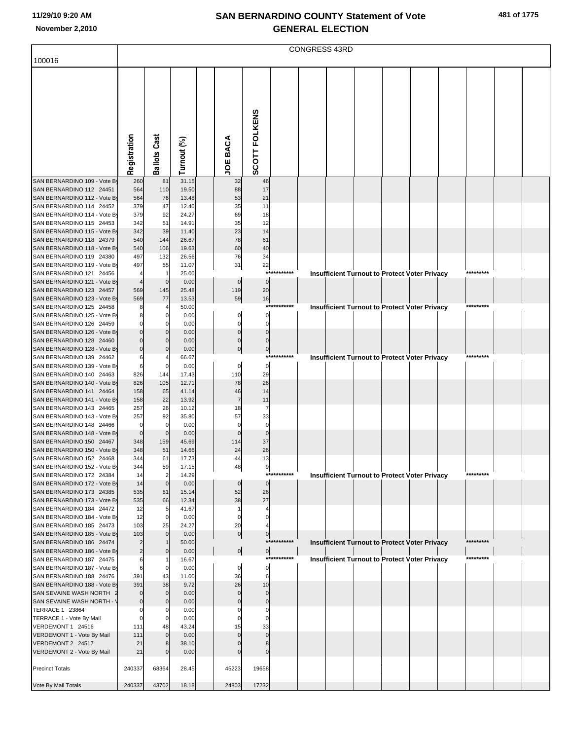|                                                          | <b>CONGRESS 43RD</b> |                      |                |                 |                            |             |  |  |  |                                                      |  |  |           |  |  |
|----------------------------------------------------------|----------------------|----------------------|----------------|-----------------|----------------------------|-------------|--|--|--|------------------------------------------------------|--|--|-----------|--|--|
| 100016                                                   |                      |                      |                |                 |                            |             |  |  |  |                                                      |  |  |           |  |  |
|                                                          |                      |                      |                |                 |                            |             |  |  |  |                                                      |  |  |           |  |  |
|                                                          |                      |                      |                |                 |                            |             |  |  |  |                                                      |  |  |           |  |  |
|                                                          |                      |                      |                |                 |                            |             |  |  |  |                                                      |  |  |           |  |  |
|                                                          |                      |                      |                |                 |                            |             |  |  |  |                                                      |  |  |           |  |  |
|                                                          |                      |                      |                |                 |                            |             |  |  |  |                                                      |  |  |           |  |  |
|                                                          |                      |                      |                |                 |                            |             |  |  |  |                                                      |  |  |           |  |  |
|                                                          |                      |                      |                |                 |                            |             |  |  |  |                                                      |  |  |           |  |  |
|                                                          |                      |                      |                |                 |                            |             |  |  |  |                                                      |  |  |           |  |  |
|                                                          |                      |                      |                |                 |                            |             |  |  |  |                                                      |  |  |           |  |  |
|                                                          | Registration         | <b>Ballots Cast</b>  | Turnout (%)    | <b>JOE BACA</b> | SCOTT FOLKENS              |             |  |  |  |                                                      |  |  |           |  |  |
|                                                          |                      |                      |                |                 |                            |             |  |  |  |                                                      |  |  |           |  |  |
| SAN BERNARDINO 109 - Vote By                             | 260                  | 81                   | 31.15          | 32              | 46                         |             |  |  |  |                                                      |  |  |           |  |  |
| SAN BERNARDINO 112 24451<br>SAN BERNARDINO 112 - Vote By | 564<br>564           | 110                  | 19.50<br>13.48 | 88<br>53        | 17<br>21                   |             |  |  |  |                                                      |  |  |           |  |  |
| SAN BERNARDINO 114 24452                                 | 379                  | 76<br>47             | 12.40          | 35              | 11                         |             |  |  |  |                                                      |  |  |           |  |  |
| SAN BERNARDINO 114 - Vote By                             | 379                  | 92                   | 24.27          | 69              | 18                         |             |  |  |  |                                                      |  |  |           |  |  |
| SAN BERNARDINO 115 24453                                 | 342                  | 51                   | 14.91          | 35              | 12                         |             |  |  |  |                                                      |  |  |           |  |  |
| SAN BERNARDINO 115 - Vote By                             | 342                  | 39                   | 11.40          | 23              | 14                         |             |  |  |  |                                                      |  |  |           |  |  |
| SAN BERNARDINO 118 24379<br>SAN BERNARDINO 118 - Vote By | 540<br>540           | 144<br>106           | 26.67<br>19.63 | 78<br>60        | 61<br>40                   |             |  |  |  |                                                      |  |  |           |  |  |
| SAN BERNARDINO 119 24380                                 | 497                  | 132                  | 26.56          | 76              | 34                         |             |  |  |  |                                                      |  |  |           |  |  |
| SAN BERNARDINO 119 - Vote By                             | 497                  | 55                   | 11.07          | 31              | 22                         |             |  |  |  |                                                      |  |  |           |  |  |
| SAN BERNARDINO 121 24456                                 |                      |                      | 25.00          |                 | $***$                      |             |  |  |  | <b>Insufficient Turnout to Protect Voter Privacy</b> |  |  | ********  |  |  |
| SAN BERNARDINO 121 - Vote By                             |                      | $\mathbf 0$          | 0.00           | $\mathbf 0$     | $\overline{0}$             |             |  |  |  |                                                      |  |  |           |  |  |
| SAN BERNARDINO 123 24457<br>SAN BERNARDINO 123 - Vote By | 569<br>569           | 145<br>77            | 25.48<br>13.53 | 119<br>59       | 20<br>16                   |             |  |  |  |                                                      |  |  |           |  |  |
| SAN BERNARDINO 125 24458                                 |                      |                      | 50.00          |                 |                            | ****        |  |  |  | <b>Insufficient Turnout to Protect Voter Privacy</b> |  |  | ********* |  |  |
| SAN BERNARDINO 125 - Vote By                             |                      |                      | 0.00           |                 | 0                          |             |  |  |  |                                                      |  |  |           |  |  |
| SAN BERNARDINO 126 24459                                 |                      |                      | 0.00           |                 | $\Omega$                   |             |  |  |  |                                                      |  |  |           |  |  |
| SAN BERNARDINO 126 - Vote By                             |                      |                      | 0.00           | $\Omega$        | $\mathbf 0$<br>$\Omega$    |             |  |  |  |                                                      |  |  |           |  |  |
| SAN BERNARDINO 128 24460<br>SAN BERNARDINO 128 - Vote By |                      |                      | 0.00<br>0.00   | $\Omega$        | $\pmb{0}$                  |             |  |  |  |                                                      |  |  |           |  |  |
| SAN BERNARDINO 139 24462                                 |                      |                      | 66.67          |                 |                            | *********** |  |  |  | <b>Insufficient Turnout to Protect Voter Privacy</b> |  |  | ********* |  |  |
| SAN BERNARDINO 139 - Vote By                             | 6                    |                      | 0.00           | $\mathbf 0$     | $\mathbf 0$                |             |  |  |  |                                                      |  |  |           |  |  |
| SAN BERNARDINO 140 24463                                 | 826                  | 144                  | 17.43          | 110             | 29                         |             |  |  |  |                                                      |  |  |           |  |  |
| SAN BERNARDINO 140 - Vote By<br>SAN BERNARDINO 141 24464 | 826<br>158           | 105<br>65            | 12.71<br>41.14 | 78<br>46        | 26<br>14                   |             |  |  |  |                                                      |  |  |           |  |  |
| SAN BERNARDINO 141 - Vote By                             | 158                  | 22                   | 13.92          | $\overline{7}$  | 11                         |             |  |  |  |                                                      |  |  |           |  |  |
| SAN BERNARDINO 143 24465                                 | 257                  | 26                   | 10.12          | 18              | 7                          |             |  |  |  |                                                      |  |  |           |  |  |
| SAN BERNARDINO 143 - Vote By                             | 257                  | 92                   | 35.80          | 57              | 33                         |             |  |  |  |                                                      |  |  |           |  |  |
| SAN BERNARDINO 148 24466<br>SAN BERNARDINO 148 - Vote By | 0<br>$\mathbf 0$     | $\Omega$             | 0.00<br>0.00   | $\Omega$        | $\mathbf 0$<br>$\mathbf 0$ |             |  |  |  |                                                      |  |  |           |  |  |
| SAN BERNARDINO 150 24467                                 | 348                  | 159                  | 45.69          | 114             | 37                         |             |  |  |  |                                                      |  |  |           |  |  |
| SAN BERNARDINO 150 - Vote By                             | 348                  | 51                   | 14.66          | 24              | 26                         |             |  |  |  |                                                      |  |  |           |  |  |
| SAN BERNARDINO 152 24468                                 | 344                  | 61                   | 17.73          | 44              | 13                         |             |  |  |  |                                                      |  |  |           |  |  |
| SAN BERNARDINO 152 - Vote By                             | 344                  | 59<br>$\overline{2}$ | 17.15          | 48              | 9                          | ****        |  |  |  |                                                      |  |  | ********* |  |  |
| SAN BERNARDINO 172 24384<br>SAN BERNARDINO 172 - Vote By | 14<br>14             | $\mathbf 0$          | 14.29<br>0.00  | $\mathbf 0$     | $\mathbf 0$                |             |  |  |  | <b>Insufficient Turnout to Protect Voter Privacy</b> |  |  |           |  |  |
| SAN BERNARDINO 173 24385                                 | 535                  | 81                   | 15.14          | 52              | 26                         |             |  |  |  |                                                      |  |  |           |  |  |
| SAN BERNARDINO 173 - Vote By                             | 535                  | 66                   | 12.34          | 38              | 27                         |             |  |  |  |                                                      |  |  |           |  |  |
| SAN BERNARDINO 184 24472                                 | 12                   |                      | 41.67          |                 |                            |             |  |  |  |                                                      |  |  |           |  |  |
| SAN BERNARDINO 184 - Vote By<br>SAN BERNARDINO 185 24473 | 12<br>103            | $\mathbf 0$<br>25    | 0.00<br>24.27  | $\Omega$<br>20  |                            |             |  |  |  |                                                      |  |  |           |  |  |
| SAN BERNARDINO 185 - Vote By                             | 103                  | $\Omega$             | 0.00           | $\overline{0}$  | $\overline{0}$             |             |  |  |  |                                                      |  |  |           |  |  |
| SAN BERNARDINO 186 24474                                 |                      |                      | 50.00          |                 |                            | *********** |  |  |  | <b>Insufficient Turnout to Protect Voter Privacy</b> |  |  | ********* |  |  |
| SAN BERNARDINO 186 - Vote By                             | $\overline{2}$       | $\Omega$             | 0.00           | $\overline{0}$  | $\overline{0}$             |             |  |  |  |                                                      |  |  |           |  |  |
| SAN BERNARDINO 187 24475<br>SAN BERNARDINO 187 - Vote By | 6                    |                      | 16.67<br>0.00  | 0               | $\mathbf 0$                | *********** |  |  |  | <b>Insufficient Turnout to Protect Voter Privacy</b> |  |  | ********* |  |  |
| SAN BERNARDINO 188 24476                                 | 391                  | 43                   | 11.00          | 36              | $6\phantom{1}$             |             |  |  |  |                                                      |  |  |           |  |  |
| SAN BERNARDINO 188 - Vote By                             | 391                  | 38                   | 9.72           | 26              | 10                         |             |  |  |  |                                                      |  |  |           |  |  |
| SAN SEVAINE WASH NORTH 2                                 | 0                    | $\mathbf 0$          | 0.00           | $\Omega$        | $\overline{0}$             |             |  |  |  |                                                      |  |  |           |  |  |
| SAN SEVAINE WASH NORTH - \                               | $\mathbf 0$          |                      | 0.00           |                 | $\mathbf 0$<br>$\Omega$    |             |  |  |  |                                                      |  |  |           |  |  |
| TERRACE 1 23864<br>TERRACE 1 - Vote By Mail              |                      |                      | 0.00<br>0.00   |                 | $\Omega$                   |             |  |  |  |                                                      |  |  |           |  |  |
| VERDEMONT 1 24516                                        | 111                  | 48                   | 43.24          | 15              | 33                         |             |  |  |  |                                                      |  |  |           |  |  |
| VERDEMONT 1 - Vote By Mail                               | 111                  | $\Omega$             | 0.00           |                 | $\Omega$                   |             |  |  |  |                                                      |  |  |           |  |  |
| VERDEMONT 2 24517                                        | 21                   |                      | 38.10          |                 |                            |             |  |  |  |                                                      |  |  |           |  |  |
| VERDEMONT 2 - Vote By Mail                               | 21                   |                      | 0.00           |                 | $\Omega$                   |             |  |  |  |                                                      |  |  |           |  |  |
| <b>Precinct Totals</b>                                   | 240337               | 68364                | 28.45          | 45223           | 19658                      |             |  |  |  |                                                      |  |  |           |  |  |
|                                                          |                      |                      |                |                 |                            |             |  |  |  |                                                      |  |  |           |  |  |
| Vote By Mail Totals                                      | 240337               | 43702                | 18.18          | 24803           | 17232                      |             |  |  |  |                                                      |  |  |           |  |  |